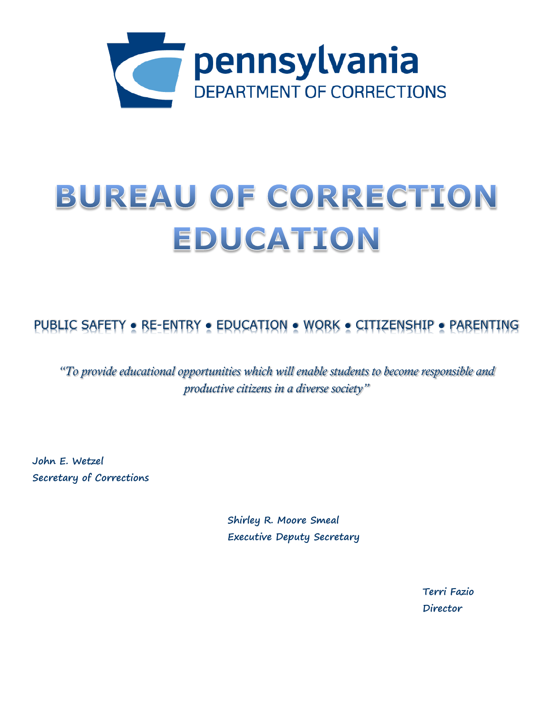

# BUREAU OF CORRECTION EDUCATION

PUBLIC SAFETY ● RE-ENTRY ● EDUCATION ● WORK ● CITIZENSHIP ● PARENTING

*"To provide educational opportunities which will enable students to become responsible and productive citizens in a diverse society"*

**John E. Wetzel Secretary of Corrections**

> **Shirley R. Moore Smeal Executive Deputy Secretary**

> > **Terri Fazio Director**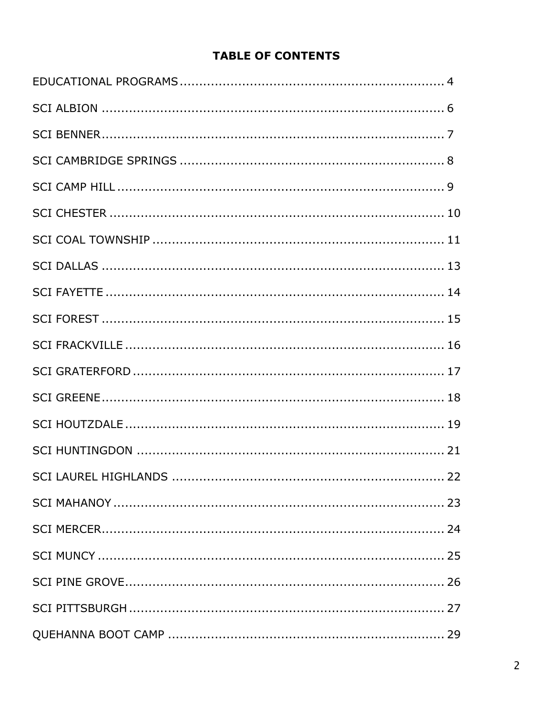## **TABLE OF CONTENTS**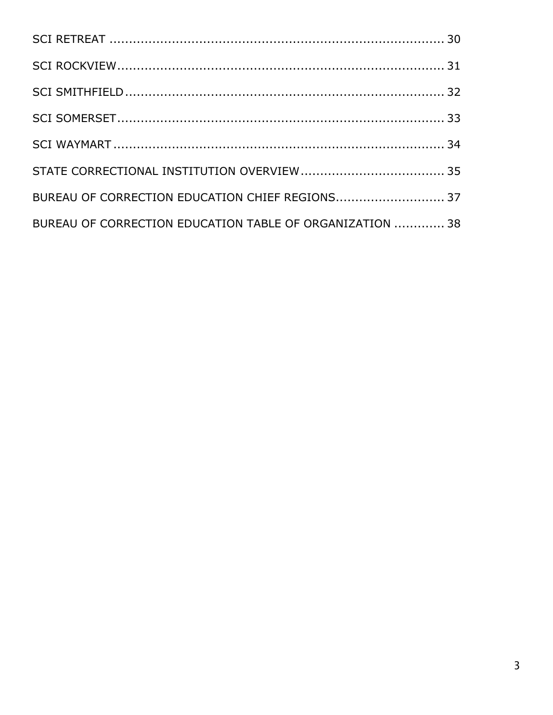| BUREAU OF CORRECTION EDUCATION CHIEF REGIONS 37          |  |
|----------------------------------------------------------|--|
| BUREAU OF CORRECTION EDUCATION TABLE OF ORGANIZATION  38 |  |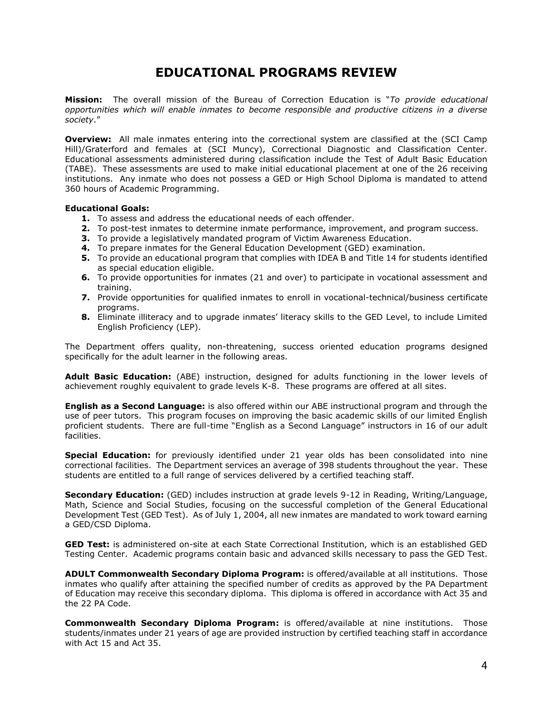## **EDUCATIONAL PROGRAMS REVIEW**

**Mission:** The overall mission of the Bureau of Correction Education is "*To provide educational opportunities which will enable inmates to become responsible and productive citizens in a diverse society*."

**Overview:** All male inmates entering into the correctional system are classified at the (SCI Camp Hill)/Graterford and females at (SCI Muncy), Correctional Diagnostic and Classification Center. Educational assessments administered during classification include the Test of Adult Basic Education (TABE). These assessments are used to make initial educational placement at one of the 26 receiving institutions. Any inmate who does not possess a GED or High School Diploma is mandated to attend 360 hours of Academic Programming.

#### **Educational Goals:**

- **1.** To assess and address the educational needs of each offender.
- **2.** To post-test inmates to determine inmate performance, improvement, and program success.
- **3.** To provide a legislatively mandated program of Victim Awareness Education.
- **4.** To prepare inmates for the General Education Development (GED) examination.
- **5.** To provide an educational program that complies with IDEA B and Title 14 for students identified as special education eligible.
- **6.** To provide opportunities for inmates (21 and over) to participate in vocational assessment and training.
- **7.** Provide opportunities for qualified inmates to enroll in vocational-technical/business certificate programs.
- **8.** Eliminate illiteracy and to upgrade inmates' literacy skills to the GED Level, to include Limited English Proficiency (LEP).

The Department offers quality, non-threatening, success oriented education programs designed specifically for the adult learner in the following areas.

**Adult Basic Education:** (ABE) instruction, designed for adults functioning in the lower levels of achievement roughly equivalent to grade levels K-8. These programs are offered at all sites.

**English as a Second Language:** is also offered within our ABE instructional program and through the use of peer tutors. This program focuses on improving the basic academic skills of our limited English proficient students. There are full-time "English as a Second Language" instructors in 16 of our adult facilities.

**Special Education:** for previously identified under 21 year olds has been consolidated into nine correctional facilities. The Department services an average of 398 students throughout the year. These students are entitled to a full range of services delivered by a certified teaching staff.

**Secondary Education:** (GED) includes instruction at grade levels 9-12 in Reading, Writing/Language, Math, Science and Social Studies, focusing on the successful completion of the General Educational Development Test (GED Test). As of July 1, 2004, all new inmates are mandated to work toward earning a GED/CSD Diploma.

**GED Test:** is administered on-site at each State Correctional Institution, which is an established GED Testing Center. Academic programs contain basic and advanced skills necessary to pass the GED Test.

**ADULT Commonwealth Secondary Diploma Program:** is offered/available at all institutions. Those inmates who qualify after attaining the specified number of credits as approved by the PA Department of Education may receive this secondary diploma. This diploma is offered in accordance with Act 35 and the 22 PA Code.

**Commonwealth Secondary Diploma Program:** is offered/available at nine institutions. Those students/inmates under 21 years of age are provided instruction by certified teaching staff in accordance with Act 15 and Act 35.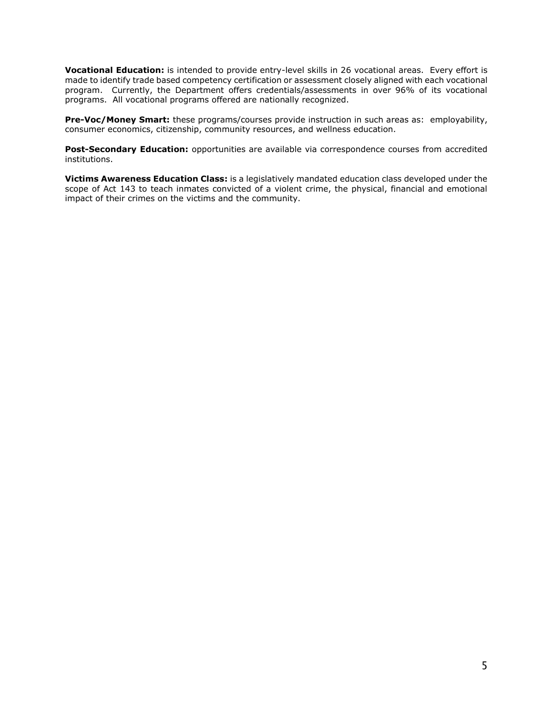**Vocational Education:** is intended to provide entry-level skills in 26 vocational areas. Every effort is made to identify trade based competency certification or assessment closely aligned with each vocational program. Currently, the Department offers credentials/assessments in over 96% of its vocational programs. All vocational programs offered are nationally recognized.

**Pre-Voc/Money Smart:** these programs/courses provide instruction in such areas as: employability, consumer economics, citizenship, community resources, and wellness education.

Post-Secondary Education: opportunities are available via correspondence courses from accredited institutions.

**Victims Awareness Education Class:** is a legislatively mandated education class developed under the scope of Act 143 to teach inmates convicted of a violent crime, the physical, financial and emotional impact of their crimes on the victims and the community.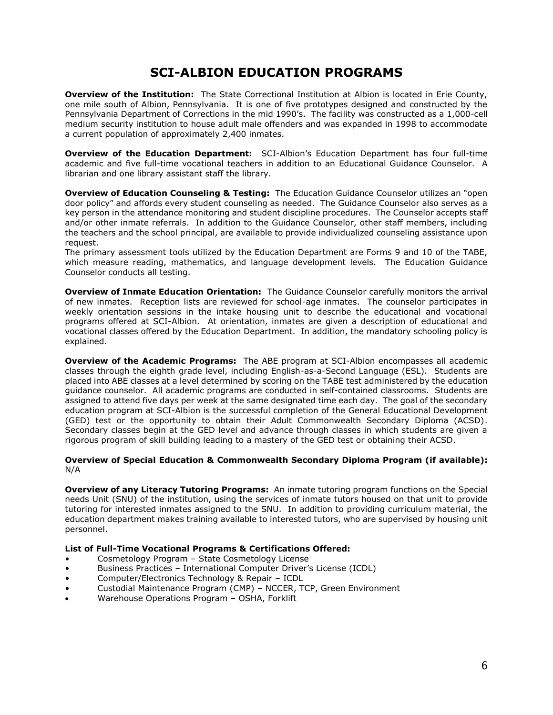## **SCI-ALBION EDUCATION PROGRAMS**

**Overview of the Institution:** The State Correctional Institution at Albion is located in Erie County, one mile south of Albion, Pennsylvania. It is one of five prototypes designed and constructed by the Pennsylvania Department of Corrections in the mid 1990's. The facility was constructed as a 1,000-cell medium security institution to house adult male offenders and was expanded in 1998 to accommodate a current population of approximately 2,400 inmates.

**Overview of the Education Department:** SCI-Albion's Education Department has four full-time academic and five full-time vocational teachers in addition to an Educational Guidance Counselor. A librarian and one library assistant staff the library.

**Overview of Education Counseling & Testing:** The Education Guidance Counselor utilizes an "open door policy" and affords every student counseling as needed. The Guidance Counselor also serves as a key person in the attendance monitoring and student discipline procedures. The Counselor accepts staff and/or other inmate referrals. In addition to the Guidance Counselor, other staff members, including the teachers and the school principal, are available to provide individualized counseling assistance upon request.

The primary assessment tools utilized by the Education Department are Forms 9 and 10 of the TABE, which measure reading, mathematics, and language development levels. The Education Guidance Counselor conducts all testing.

**Overview of Inmate Education Orientation:** The Guidance Counselor carefully monitors the arrival of new inmates. Reception lists are reviewed for school-age inmates. The counselor participates in weekly orientation sessions in the intake housing unit to describe the educational and vocational programs offered at SCI-Albion. At orientation, inmates are given a description of educational and vocational classes offered by the Education Department. In addition, the mandatory schooling policy is explained.

**Overview of the Academic Programs:** The ABE program at SCI-Albion encompasses all academic classes through the eighth grade level, including English-as-a-Second Language (ESL). Students are placed into ABE classes at a level determined by scoring on the TABE test administered by the education guidance counselor. All academic programs are conducted in self-contained classrooms. Students are assigned to attend five days per week at the same designated time each day. The goal of the secondary education program at SCI-Albion is the successful completion of the General Educational Development (GED) test or the opportunity to obtain their Adult Commonwealth Secondary Diploma (ACSD). Secondary classes begin at the GED level and advance through classes in which students are given a rigorous program of skill building leading to a mastery of the GED test or obtaining their ACSD.

#### **Overview of Special Education & Commonwealth Secondary Diploma Program (if available):** N/A

**Overview of any Literacy Tutoring Programs:** An inmate tutoring program functions on the Special needs Unit (SNU) of the institution, using the services of inmate tutors housed on that unit to provide tutoring for interested inmates assigned to the SNU. In addition to providing curriculum material, the education department makes training available to interested tutors, who are supervised by housing unit personnel.

- Cosmetology Program State Cosmetology License
- Business Practices International Computer Driver's License (ICDL)
- Computer/Electronics Technology & Repair ICDL
- Custodial Maintenance Program (CMP) NCCER, TCP, Green Environment
- Warehouse Operations Program OSHA, Forklift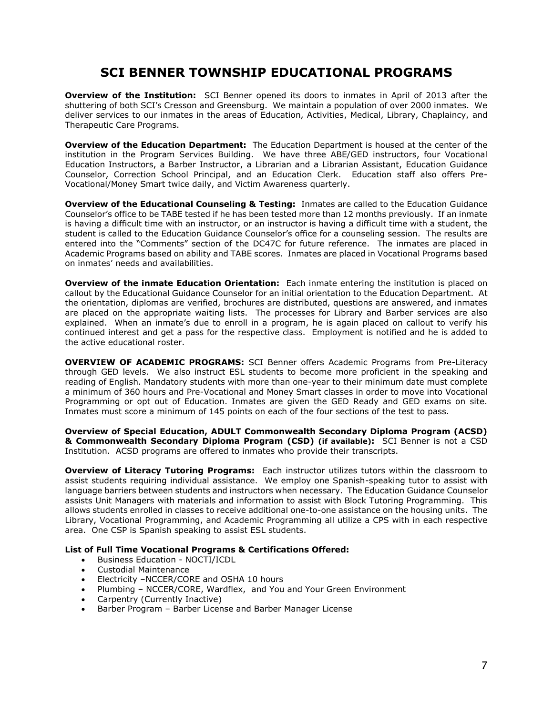## **SCI BENNER TOWNSHIP EDUCATIONAL PROGRAMS**

**Overview of the Institution:** SCI Benner opened its doors to inmates in April of 2013 after the shuttering of both SCI's Cresson and Greensburg. We maintain a population of over 2000 inmates. We deliver services to our inmates in the areas of Education, Activities, Medical, Library, Chaplaincy, and Therapeutic Care Programs.

**Overview of the Education Department:** The Education Department is housed at the center of the institution in the Program Services Building. We have three ABE/GED instructors, four Vocational Education Instructors, a Barber Instructor, a Librarian and a Librarian Assistant, Education Guidance Counselor, Correction School Principal, and an Education Clerk. Education staff also offers Pre-Vocational/Money Smart twice daily, and Victim Awareness quarterly.

**Overview of the Educational Counseling & Testing:** Inmates are called to the Education Guidance Counselor's office to be TABE tested if he has been tested more than 12 months previously. If an inmate is having a difficult time with an instructor, or an instructor is having a difficult time with a student, the student is called to the Education Guidance Counselor's office for a counseling session. The results are entered into the "Comments" section of the DC47C for future reference. The inmates are placed in Academic Programs based on ability and TABE scores. Inmates are placed in Vocational Programs based on inmates' needs and availabilities.

**Overview of the inmate Education Orientation:** Each inmate entering the institution is placed on callout by the Educational Guidance Counselor for an initial orientation to the Education Department. At the orientation, diplomas are verified, brochures are distributed, questions are answered, and inmates are placed on the appropriate waiting lists. The processes for Library and Barber services are also explained. When an inmate's due to enroll in a program, he is again placed on callout to verify his continued interest and get a pass for the respective class. Employment is notified and he is added to the active educational roster.

**OVERVIEW OF ACADEMIC PROGRAMS:** SCI Benner offers Academic Programs from Pre-Literacy through GED levels. We also instruct ESL students to become more proficient in the speaking and reading of English. Mandatory students with more than one-year to their minimum date must complete a minimum of 360 hours and Pre-Vocational and Money Smart classes in order to move into Vocational Programming or opt out of Education. Inmates are given the GED Ready and GED exams on site. Inmates must score a minimum of 145 points on each of the four sections of the test to pass.

**Overview of Special Education, ADULT Commonwealth Secondary Diploma Program (ACSD) & Commonwealth Secondary Diploma Program (CSD) (if available):** SCI Benner is not a CSD Institution. ACSD programs are offered to inmates who provide their transcripts.

**Overview of Literacy Tutoring Programs:** Each instructor utilizes tutors within the classroom to assist students requiring individual assistance. We employ one Spanish-speaking tutor to assist with language barriers between students and instructors when necessary. The Education Guidance Counselor assists Unit Managers with materials and information to assist with Block Tutoring Programming. This allows students enrolled in classes to receive additional one-to-one assistance on the housing units. The Library, Vocational Programming, and Academic Programming all utilize a CPS with in each respective area. One CSP is Spanish speaking to assist ESL students.

- Business Education NOCTI/ICDL
- Custodial Maintenance
- Electricity –NCCER/CORE and OSHA 10 hours
- Plumbing NCCER/CORE, Wardflex, and You and Your Green Environment
- Carpentry (Currently Inactive)
- Barber Program Barber License and Barber Manager License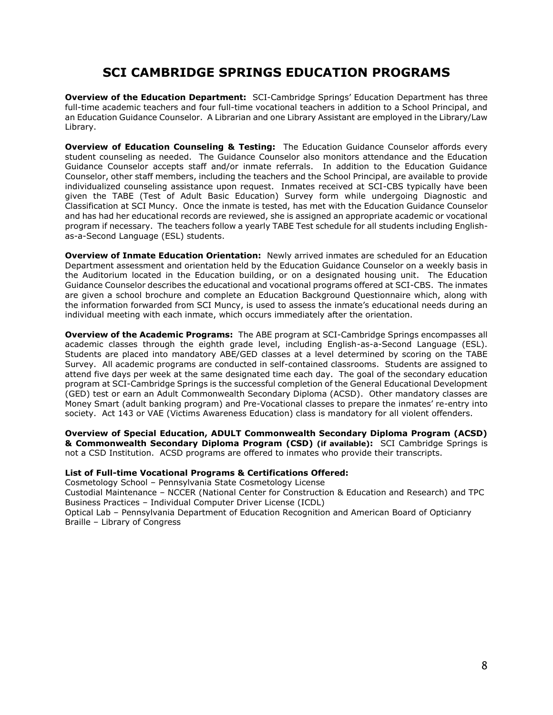## **SCI CAMBRIDGE SPRINGS EDUCATION PROGRAMS**

**Overview of the Education Department:** SCI-Cambridge Springs' Education Department has three full-time academic teachers and four full-time vocational teachers in addition to a School Principal, and an Education Guidance Counselor. A Librarian and one Library Assistant are employed in the Library/Law Library.

**Overview of Education Counseling & Testing:** The Education Guidance Counselor affords every student counseling as needed. The Guidance Counselor also monitors attendance and the Education Guidance Counselor accepts staff and/or inmate referrals. In addition to the Education Guidance Counselor, other staff members, including the teachers and the School Principal, are available to provide individualized counseling assistance upon request. Inmates received at SCI-CBS typically have been given the TABE (Test of Adult Basic Education) Survey form while undergoing Diagnostic and Classification at SCI Muncy. Once the inmate is tested, has met with the Education Guidance Counselor and has had her educational records are reviewed, she is assigned an appropriate academic or vocational program if necessary. The teachers follow a yearly TABE Test schedule for all students including Englishas-a-Second Language (ESL) students.

**Overview of Inmate Education Orientation:** Newly arrived inmates are scheduled for an Education Department assessment and orientation held by the Education Guidance Counselor on a weekly basis in the Auditorium located in the Education building, or on a designated housing unit. The Education Guidance Counselor describes the educational and vocational programs offered at SCI-CBS. The inmates are given a school brochure and complete an Education Background Questionnaire which, along with the information forwarded from SCI Muncy, is used to assess the inmate's educational needs during an individual meeting with each inmate, which occurs immediately after the orientation.

**Overview of the Academic Programs:** The ABE program at SCI-Cambridge Springs encompasses all academic classes through the eighth grade level, including English-as-a-Second Language (ESL). Students are placed into mandatory ABE/GED classes at a level determined by scoring on the TABE Survey. All academic programs are conducted in self-contained classrooms. Students are assigned to attend five days per week at the same designated time each day. The goal of the secondary education program at SCI-Cambridge Springs is the successful completion of the General Educational Development (GED) test or earn an Adult Commonwealth Secondary Diploma (ACSD). Other mandatory classes are Money Smart (adult banking program) and Pre-Vocational classes to prepare the inmates' re-entry into society. Act 143 or VAE (Victims Awareness Education) class is mandatory for all violent offenders.

**Overview of Special Education, ADULT Commonwealth Secondary Diploma Program (ACSD) & Commonwealth Secondary Diploma Program (CSD) (if available):** SCI Cambridge Springs is not a CSD Institution. ACSD programs are offered to inmates who provide their transcripts.

#### **List of Full-time Vocational Programs & Certifications Offered:**

Cosmetology School – Pennsylvania State Cosmetology License

Custodial Maintenance – NCCER (National Center for Construction & Education and Research) and TPC Business Practices – Individual Computer Driver License (ICDL)

Optical Lab – Pennsylvania Department of Education Recognition and American Board of Opticianry Braille – Library of Congress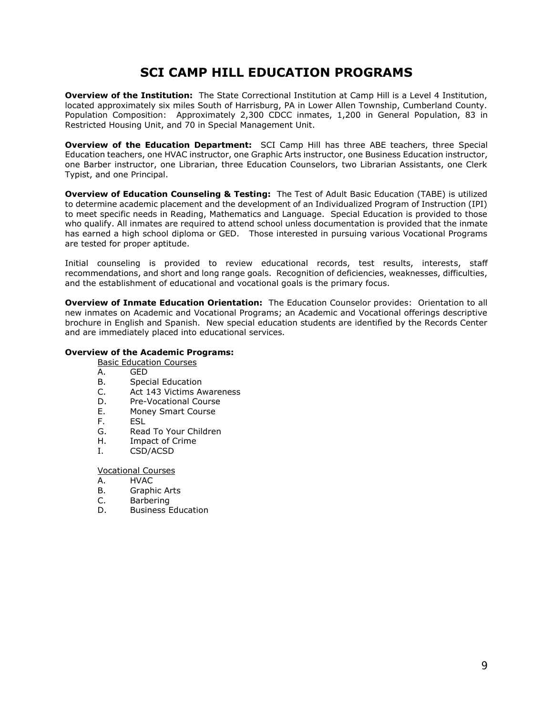## **SCI CAMP HILL EDUCATION PROGRAMS**

**Overview of the Institution:** The State Correctional Institution at Camp Hill is a Level 4 Institution, located approximately six miles South of Harrisburg, PA in Lower Allen Township, Cumberland County. Population Composition: Approximately 2,300 CDCC inmates, 1,200 in General Population, 83 in Restricted Housing Unit, and 70 in Special Management Unit.

**Overview of the Education Department:** SCI Camp Hill has three ABE teachers, three Special Education teachers, one HVAC instructor, one Graphic Arts instructor, one Business Education instructor, one Barber instructor, one Librarian, three Education Counselors, two Librarian Assistants, one Clerk Typist, and one Principal.

**Overview of Education Counseling & Testing:** The Test of Adult Basic Education (TABE) is utilized to determine academic placement and the development of an Individualized Program of Instruction (IPI) to meet specific needs in Reading, Mathematics and Language. Special Education is provided to those who qualify. All inmates are required to attend school unless documentation is provided that the inmate has earned a high school diploma or GED. Those interested in pursuing various Vocational Programs are tested for proper aptitude.

Initial counseling is provided to review educational records, test results, interests, staff recommendations, and short and long range goals. Recognition of deficiencies, weaknesses, difficulties, and the establishment of educational and vocational goals is the primary focus.

**Overview of Inmate Education Orientation:** The Education Counselor provides: Orientation to all new inmates on Academic and Vocational Programs; an Academic and Vocational offerings descriptive brochure in English and Spanish. New special education students are identified by the Records Center and are immediately placed into educational services.

#### **Overview of the Academic Programs:**

Basic Education Courses

- A. GED
- B. Special Education
- C. Act 143 Victims Awareness
- D. Pre-Vocational Course
- E. Money Smart Course
- F. ESL
- G. Read To Your Children
- H. Impact of Crime
- I. CSD/ACSD

Vocational Courses

- A. HVAC
- B. Graphic Arts
- C. Barbering
- D. Business Education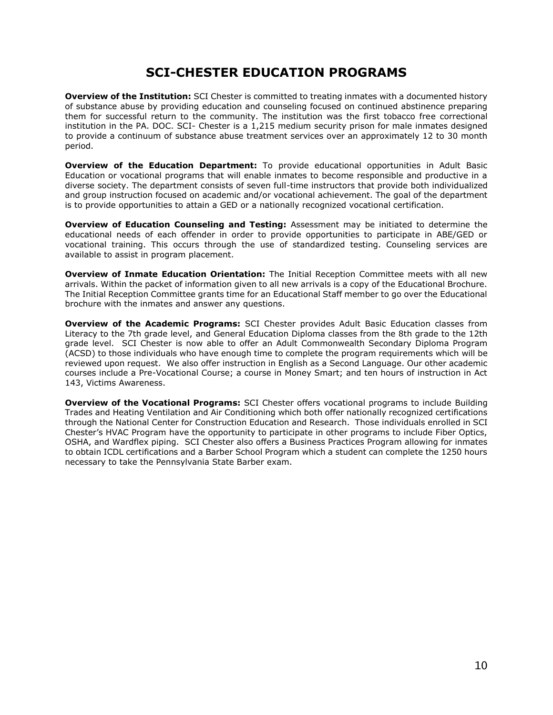## **SCI-CHESTER EDUCATION PROGRAMS**

**Overview of the Institution:** SCI Chester is committed to treating inmates with a documented history of substance abuse by providing education and counseling focused on continued abstinence preparing them for successful return to the community. The institution was the first tobacco free correctional institution in the PA. DOC. SCI- Chester is a 1,215 medium security prison for male inmates designed to provide a continuum of substance abuse treatment services over an approximately 12 to 30 month period.

**Overview of the Education Department:** To provide educational opportunities in Adult Basic Education or vocational programs that will enable inmates to become responsible and productive in a diverse society. The department consists of seven full-time instructors that provide both individualized and group instruction focused on academic and/or vocational achievement. The goal of the department is to provide opportunities to attain a GED or a nationally recognized vocational certification.

**Overview of Education Counseling and Testing:** Assessment may be initiated to determine the educational needs of each offender in order to provide opportunities to participate in ABE/GED or vocational training. This occurs through the use of standardized testing. Counseling services are available to assist in program placement.

**Overview of Inmate Education Orientation:** The Initial Reception Committee meets with all new arrivals. Within the packet of information given to all new arrivals is a copy of the Educational Brochure. The Initial Reception Committee grants time for an Educational Staff member to go over the Educational brochure with the inmates and answer any questions.

**Overview of the Academic Programs:** SCI Chester provides Adult Basic Education classes from Literacy to the 7th grade level, and General Education Diploma classes from the 8th grade to the 12th grade level. SCI Chester is now able to offer an Adult Commonwealth Secondary Diploma Program (ACSD) to those individuals who have enough time to complete the program requirements which will be reviewed upon request. We also offer instruction in English as a Second Language. Our other academic courses include a Pre-Vocational Course; a course in Money Smart; and ten hours of instruction in Act 143, Victims Awareness.

**Overview of the Vocational Programs:** SCI Chester offers vocational programs to include Building Trades and Heating Ventilation and Air Conditioning which both offer nationally recognized certifications through the National Center for Construction Education and Research. Those individuals enrolled in SCI Chester's HVAC Program have the opportunity to participate in other programs to include Fiber Optics, OSHA, and Wardflex piping. SCI Chester also offers a Business Practices Program allowing for inmates to obtain ICDL certifications and a Barber School Program which a student can complete the 1250 hours necessary to take the Pennsylvania State Barber exam.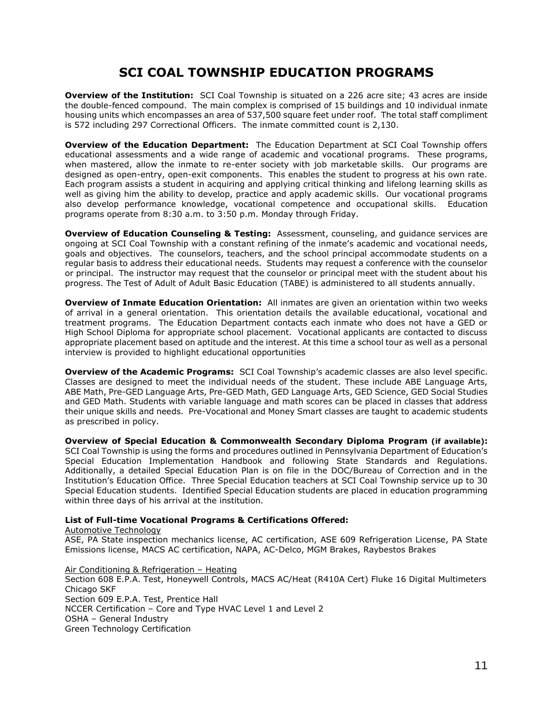## **SCI COAL TOWNSHIP EDUCATION PROGRAMS**

**Overview of the Institution:** SCI Coal Township is situated on a 226 acre site; 43 acres are inside the double-fenced compound. The main complex is comprised of 15 buildings and 10 individual inmate housing units which encompasses an area of 537,500 square feet under roof. The total staff compliment is 572 including 297 Correctional Officers. The inmate committed count is 2,130.

**Overview of the Education Department:** The Education Department at SCI Coal Township offers educational assessments and a wide range of academic and vocational programs. These programs, when mastered, allow the inmate to re-enter society with job marketable skills. Our programs are designed as open-entry, open-exit components. This enables the student to progress at his own rate. Each program assists a student in acquiring and applying critical thinking and lifelong learning skills as well as giving him the ability to develop, practice and apply academic skills. Our vocational programs also develop performance knowledge, vocational competence and occupational skills. Education programs operate from 8:30 a.m. to 3:50 p.m. Monday through Friday.

**Overview of Education Counseling & Testing:** Assessment, counseling, and guidance services are ongoing at SCI Coal Township with a constant refining of the inmate's academic and vocational needs, goals and objectives. The counselors, teachers, and the school principal accommodate students on a regular basis to address their educational needs. Students may request a conference with the counselor or principal. The instructor may request that the counselor or principal meet with the student about his progress. The Test of Adult of Adult Basic Education (TABE) is administered to all students annually.

**Overview of Inmate Education Orientation:** All inmates are given an orientation within two weeks of arrival in a general orientation. This orientation details the available educational, vocational and treatment programs. The Education Department contacts each inmate who does not have a GED or High School Diploma for appropriate school placement. Vocational applicants are contacted to discuss appropriate placement based on aptitude and the interest. At this time a school tour as well as a personal interview is provided to highlight educational opportunities

**Overview of the Academic Programs:** SCI Coal Township's academic classes are also level specific. Classes are designed to meet the individual needs of the student. These include ABE Language Arts, ABE Math, Pre-GED Language Arts, Pre-GED Math, GED Language Arts, GED Science, GED Social Studies and GED Math. Students with variable language and math scores can be placed in classes that address their unique skills and needs. Pre-Vocational and Money Smart classes are taught to academic students as prescribed in policy.

**Overview of Special Education & Commonwealth Secondary Diploma Program (if available):**  SCI Coal Township is using the forms and procedures outlined in Pennsylvania Department of Education's Special Education Implementation Handbook and following State Standards and Regulations. Additionally, a detailed Special Education Plan is on file in the DOC/Bureau of Correction and in the Institution's Education Office. Three Special Education teachers at SCI Coal Township service up to 30 Special Education students. Identified Special Education students are placed in education programming within three days of his arrival at the institution.

#### **List of Full-time Vocational Programs & Certifications Offered:**

Automotive Technology

ASE, PA State inspection mechanics license, AC certification, ASE 609 Refrigeration License, PA State Emissions license, MACS AC certification, NAPA, AC-Delco, MGM Brakes, Raybestos Brakes

Air Conditioning & Refrigeration – Heating Section 608 E.P.A. Test, Honeywell Controls, MACS AC/Heat (R410A Cert) Fluke 16 Digital Multimeters Chicago SKF Section 609 E.P.A. Test, Prentice Hall NCCER Certification – Core and Type HVAC Level 1 and Level 2 OSHA – General Industry Green Technology Certification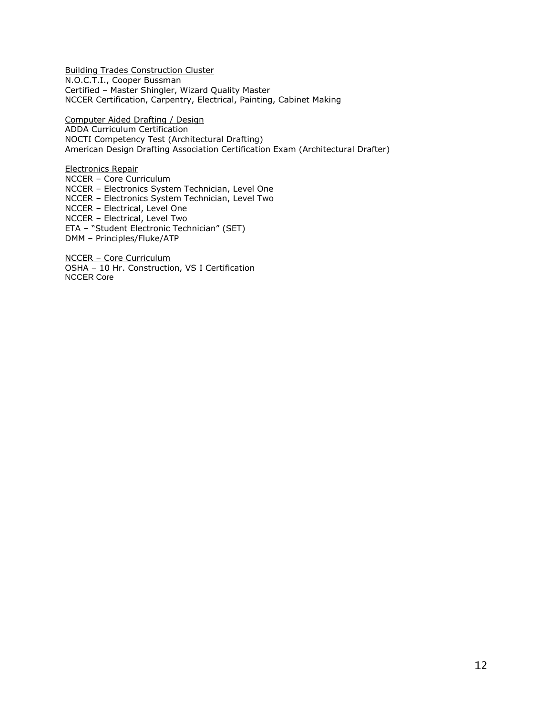Building Trades Construction Cluster N.O.C.T.I., Cooper Bussman Certified – Master Shingler, Wizard Quality Master NCCER Certification, Carpentry, Electrical, Painting, Cabinet Making

Computer Aided Drafting / Design ADDA Curriculum Certification NOCTI Competency Test (Architectural Drafting) American Design Drafting Association Certification Exam (Architectural Drafter)

Electronics Repair NCCER – Core Curriculum NCCER – Electronics System Technician, Level One NCCER – Electronics System Technician, Level Two NCCER – Electrical, Level One NCCER – Electrical, Level Two ETA – "Student Electronic Technician" (SET) DMM – Principles/Fluke/ATP

NCCER – Core Curriculum OSHA – 10 Hr. Construction, VS I Certification NCCER Core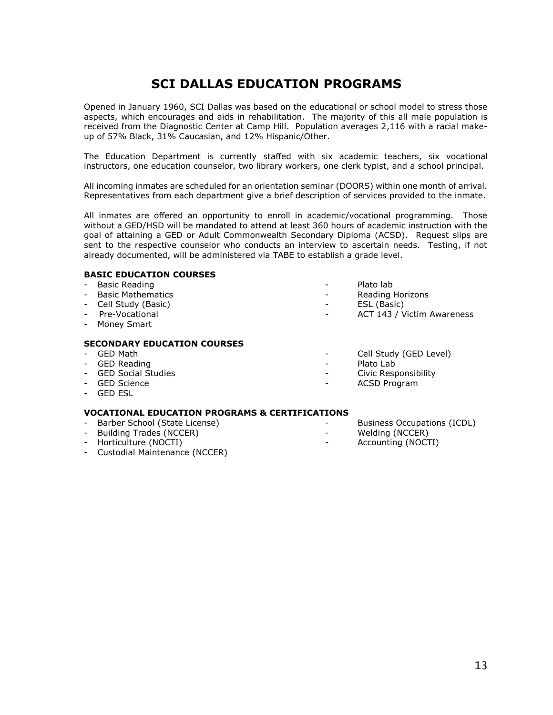## **SCI DALLAS EDUCATION PROGRAMS**

Opened in January 1960, SCI Dallas was based on the educational or school model to stress those aspects, which encourages and aids in rehabilitation. The majority of this all male population is received from the Diagnostic Center at Camp Hill. Population averages 2,116 with a racial makeup of 57% Black, 31% Caucasian, and 12% Hispanic/Other.

The Education Department is currently staffed with six academic teachers, six vocational instructors, one education counselor, two library workers, one clerk typist, and a school principal.

All incoming inmates are scheduled for an orientation seminar (DOORS) within one month of arrival. Representatives from each department give a brief description of services provided to the inmate.

All inmates are offered an opportunity to enroll in academic/vocational programming. Those without a GED/HSD will be mandated to attend at least 360 hours of academic instruction with the goal of attaining a GED or Adult Commonwealth Secondary Diploma (ACSD). Request slips are sent to the respective counselor who conducts an interview to ascertain needs. Testing, if not already documented, will be administered via TABE to establish a grade level.

#### **BASIC EDUCATION COURSES**

| - Basic Reading | Plato lab |
|-----------------|-----------|
|                 |           |

- 
- 
- Cell Study (Basic) ESL (Basic)
- Money Smart

#### **SECONDARY EDUCATION COURSES**

- 
- GED Reading  **Plato Lab**
- 
- 
- GED ESL

#### **VOCATIONAL EDUCATION PROGRAMS & CERTIFICATIONS**

- Barber School (State License) Business Occupations (ICDL)
- Building Trades (NCCER) The Melding (NCCER)
- Horticulture (NOCTI) Accounting (NOCTI)
- Custodial Maintenance (NCCER)
- 
- Basic Mathematics Reading Horizons
	-
	- ACT 143 / Victim Awareness
- GED Math  $\sim$  Cell Study (GED Level)
	-
- GED Social Studies Civic Responsibility
- GED Science ACSD Program
	-
	-
	-

13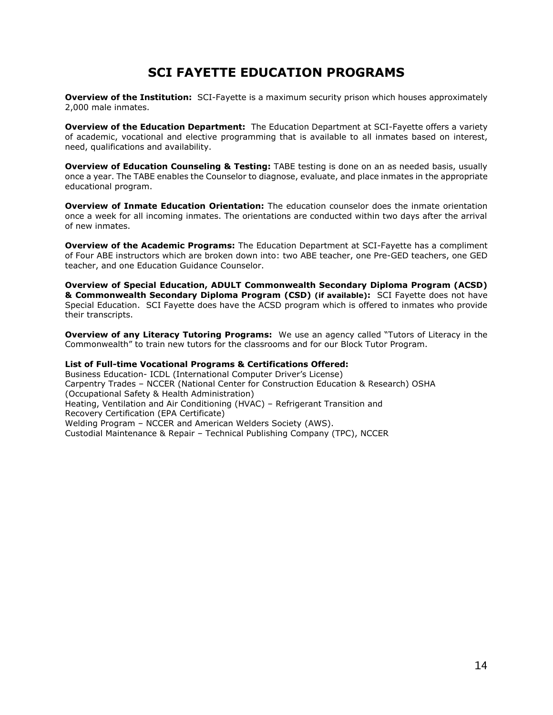## **SCI FAYETTE EDUCATION PROGRAMS**

**Overview of the Institution:** SCI-Fayette is a maximum security prison which houses approximately 2,000 male inmates.

**Overview of the Education Department:** The Education Department at SCI-Fayette offers a variety of academic, vocational and elective programming that is available to all inmates based on interest, need, qualifications and availability.

**Overview of Education Counseling & Testing:** TABE testing is done on an as needed basis, usually once a year. The TABE enables the Counselor to diagnose, evaluate, and place inmates in the appropriate educational program.

**Overview of Inmate Education Orientation:** The education counselor does the inmate orientation once a week for all incoming inmates. The orientations are conducted within two days after the arrival of new inmates.

**Overview of the Academic Programs:** The Education Department at SCI-Fayette has a compliment of Four ABE instructors which are broken down into: two ABE teacher, one Pre-GED teachers, one GED teacher, and one Education Guidance Counselor.

**Overview of Special Education, ADULT Commonwealth Secondary Diploma Program (ACSD) & Commonwealth Secondary Diploma Program (CSD) (if available):** SCI Fayette does not have Special Education. SCI Fayette does have the ACSD program which is offered to inmates who provide their transcripts.

**Overview of any Literacy Tutoring Programs:** We use an agency called "Tutors of Literacy in the Commonwealth" to train new tutors for the classrooms and for our Block Tutor Program.

#### **List of Full-time Vocational Programs & Certifications Offered:**

Business Education- ICDL (International Computer Driver's License) Carpentry Trades – NCCER (National Center for Construction Education & Research) OSHA (Occupational Safety & Health Administration) Heating, Ventilation and Air Conditioning (HVAC) – Refrigerant Transition and Recovery Certification (EPA Certificate) Welding Program – NCCER and American Welders Society (AWS). Custodial Maintenance & Repair – Technical Publishing Company (TPC), NCCER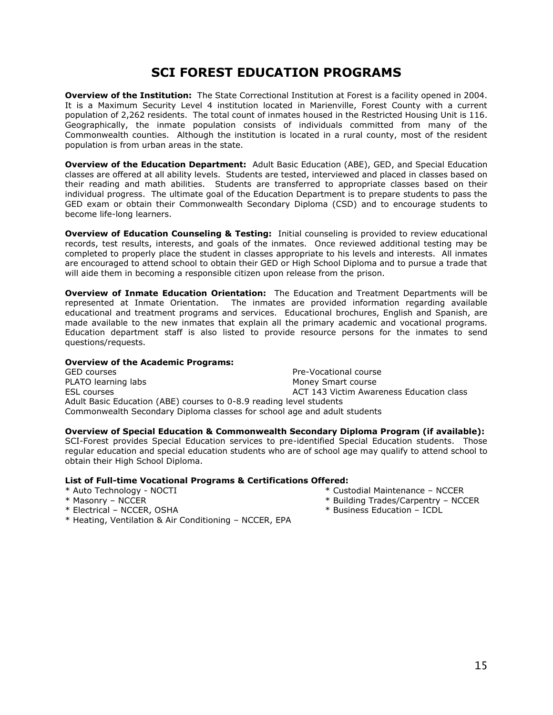## **SCI FOREST EDUCATION PROGRAMS**

**Overview of the Institution:** The State Correctional Institution at Forest is a facility opened in 2004. It is a Maximum Security Level 4 institution located in Marienville, Forest County with a current population of 2,262 residents. The total count of inmates housed in the Restricted Housing Unit is 116. Geographically, the inmate population consists of individuals committed from many of the Commonwealth counties. Although the institution is located in a rural county, most of the resident population is from urban areas in the state.

**Overview of the Education Department:** Adult Basic Education (ABE), GED, and Special Education classes are offered at all ability levels. Students are tested, interviewed and placed in classes based on their reading and math abilities. Students are transferred to appropriate classes based on their individual progress. The ultimate goal of the Education Department is to prepare students to pass the GED exam or obtain their Commonwealth Secondary Diploma (CSD) and to encourage students to become life-long learners.

**Overview of Education Counseling & Testing:** Initial counseling is provided to review educational records, test results, interests, and goals of the inmates. Once reviewed additional testing may be completed to properly place the student in classes appropriate to his levels and interests. All inmates are encouraged to attend school to obtain their GED or High School Diploma and to pursue a trade that will aide them in becoming a responsible citizen upon release from the prison.

**Overview of Inmate Education Orientation:** The Education and Treatment Departments will be represented at Inmate Orientation. The inmates are provided information regarding available educational and treatment programs and services. Educational brochures, English and Spanish, are made available to the new inmates that explain all the primary academic and vocational programs. Education department staff is also listed to provide resource persons for the inmates to send questions/requests.

#### **Overview of the Academic Programs:**

GED courses The Courses Course in the Course of the Pre-Vocational course PLATO learning labs Money Smart course ESL courses **ACT 143 Victim Awareness Education class** ACT 143 Victim Awareness Education class Adult Basic Education (ABE) courses to 0-8.9 reading level students Commonwealth Secondary Diploma classes for school age and adult students

#### **Overview of Special Education & Commonwealth Secondary Diploma Program (if available):**

SCI-Forest provides Special Education services to pre-identified Special Education students. Those regular education and special education students who are of school age may qualify to attend school to obtain their High School Diploma.

- \* Auto Technology NOCTI \* Custodial Maintenance NCCER
- 
- 
- \* Masonry NCCER **\*** Building Trades/Carpentry NCCER
- \* Electrical NCCER, OSHA \* Business Education ICDL
- \* Heating, Ventilation & Air Conditioning NCCER, EPA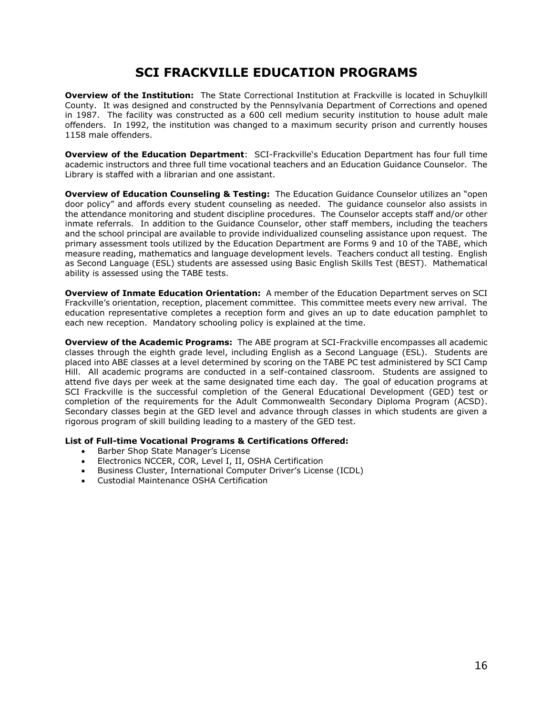## **SCI FRACKVILLE EDUCATION PROGRAMS**

**Overview of the Institution:** The State Correctional Institution at Frackville is located in Schuylkill County. It was designed and constructed by the Pennsylvania Department of Corrections and opened in 1987. The facility was constructed as a 600 cell medium security institution to house adult male offenders. In 1992, the institution was changed to a maximum security prison and currently houses 1158 male offenders.

**Overview of the Education Department**: SCI-Frackville's Education Department has four full time academic instructors and three full time vocational teachers and an Education Guidance Counselor. The Library is staffed with a librarian and one assistant.

**Overview of Education Counseling & Testing:** The Education Guidance Counselor utilizes an "open door policy" and affords every student counseling as needed. The guidance counselor also assists in the attendance monitoring and student discipline procedures. The Counselor accepts staff and/or other inmate referrals. In addition to the Guidance Counselor, other staff members, including the teachers and the school principal are available to provide individualized counseling assistance upon request. The primary assessment tools utilized by the Education Department are Forms 9 and 10 of the TABE, which measure reading, mathematics and language development levels. Teachers conduct all testing. English as Second Language (ESL) students are assessed using Basic English Skills Test (BEST). Mathematical ability is assessed using the TABE tests.

**Overview of Inmate Education Orientation:** A member of the Education Department serves on SCI Frackville's orientation, reception, placement committee. This committee meets every new arrival. The education representative completes a reception form and gives an up to date education pamphlet to each new reception. Mandatory schooling policy is explained at the time.

**Overview of the Academic Programs:** The ABE program at SCI-Frackville encompasses all academic classes through the eighth grade level, including English as a Second Language (ESL). Students are placed into ABE classes at a level determined by scoring on the TABE PC test administered by SCI Camp Hill. All academic programs are conducted in a self-contained classroom. Students are assigned to attend five days per week at the same designated time each day. The goal of education programs at SCI Frackville is the successful completion of the General Educational Development (GED) test or completion of the requirements for the Adult Commonwealth Secondary Diploma Program (ACSD). Secondary classes begin at the GED level and advance through classes in which students are given a rigorous program of skill building leading to a mastery of the GED test.

- Barber Shop State Manager's License
- Electronics NCCER, COR, Level I, II, OSHA Certification
- Business Cluster, International Computer Driver's License (ICDL)
- Custodial Maintenance OSHA Certification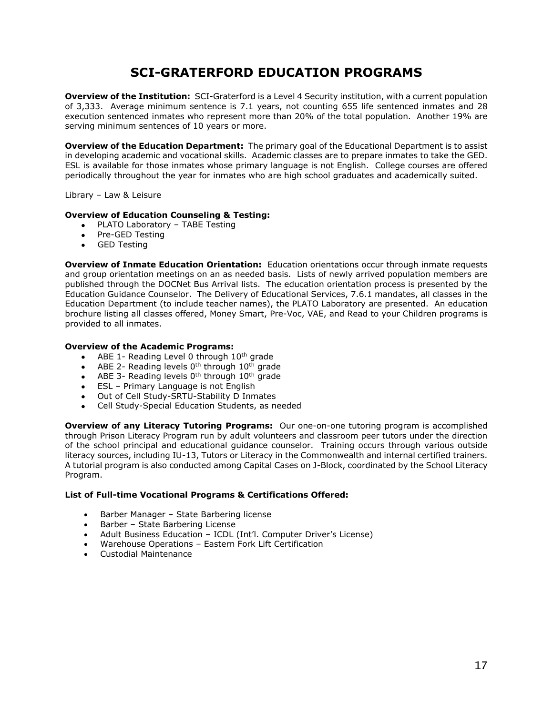## **SCI-GRATERFORD EDUCATION PROGRAMS**

**Overview of the Institution:** SCI-Graterford is a Level 4 Security institution, with a current population of 3,333. Average minimum sentence is 7.1 years, not counting 655 life sentenced inmates and 28 execution sentenced inmates who represent more than 20% of the total population. Another 19% are serving minimum sentences of 10 years or more.

**Overview of the Education Department:** The primary goal of the Educational Department is to assist in developing academic and vocational skills. Academic classes are to prepare inmates to take the GED. ESL is available for those inmates whose primary language is not English. College courses are offered periodically throughout the year for inmates who are high school graduates and academically suited.

Library – Law & Leisure

#### **Overview of Education Counseling & Testing:**

- PLATO Laboratory TABE Testing
- Pre-GED Testing
- GED Testing

**Overview of Inmate Education Orientation:** Education orientations occur through inmate requests and group orientation meetings on an as needed basis. Lists of newly arrived population members are published through the DOCNet Bus Arrival lists. The education orientation process is presented by the Education Guidance Counselor. The Delivery of Educational Services, 7.6.1 mandates, all classes in the Education Department (to include teacher names), the PLATO Laboratory are presented. An education brochure listing all classes offered, Money Smart, Pre-Voc, VAE, and Read to your Children programs is provided to all inmates.

#### **Overview of the Academic Programs:**

- $\bullet$  ABE 1- Reading Level 0 through 10<sup>th</sup> grade
- $\bullet$  ABE 2- Reading levels 0<sup>th</sup> through 10<sup>th</sup> grade
- $\bullet$  ABE 3- Reading levels 0<sup>th</sup> through 10<sup>th</sup> grade
- ESL Primary Language is not English
- Out of Cell Study-SRTU-Stability D Inmates
- Cell Study-Special Education Students, as needed

**Overview of any Literacy Tutoring Programs:** Our one-on-one tutoring program is accomplished through Prison Literacy Program run by adult volunteers and classroom peer tutors under the direction of the school principal and educational guidance counselor. Training occurs through various outside literacy sources, including IU-13, Tutors or Literacy in the Commonwealth and internal certified trainers. A tutorial program is also conducted among Capital Cases on J-Block, coordinated by the School Literacy Program.

- Barber Manager State Barbering license
- Barber State Barbering License
- Adult Business Education ICDL (Int'l. Computer Driver's License)
- Warehouse Operations Eastern Fork Lift Certification
- Custodial Maintenance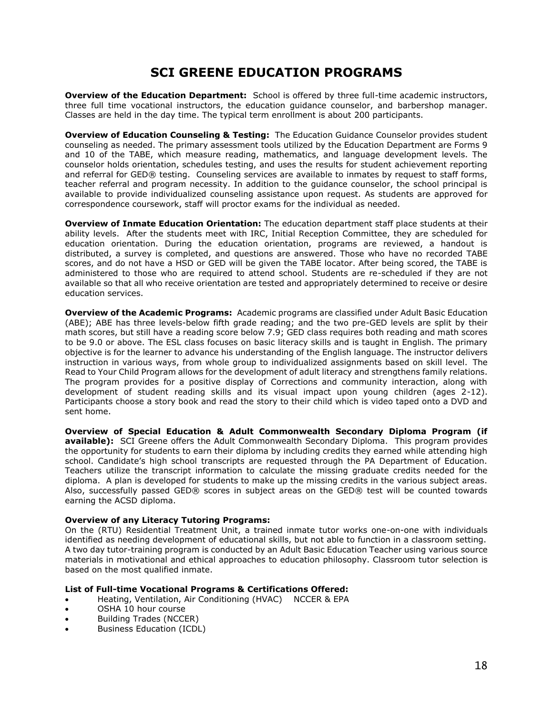## **SCI GREENE EDUCATION PROGRAMS**

**Overview of the Education Department:** School is offered by three full-time academic instructors, three full time vocational instructors, the education guidance counselor, and barbershop manager. Classes are held in the day time. The typical term enrollment is about 200 participants.

**Overview of Education Counseling & Testing:** The Education Guidance Counselor provides student counseling as needed. The primary assessment tools utilized by the Education Department are Forms 9 and 10 of the TABE, which measure reading, mathematics, and language development levels. The counselor holds orientation, schedules testing, and uses the results for student achievement reporting and referral for GED® testing. Counseling services are available to inmates by request to staff forms, teacher referral and program necessity. In addition to the guidance counselor, the school principal is available to provide individualized counseling assistance upon request. As students are approved for correspondence coursework, staff will proctor exams for the individual as needed.

**Overview of Inmate Education Orientation:** The education department staff place students at their ability levels. After the students meet with IRC, Initial Reception Committee, they are scheduled for education orientation. During the education orientation, programs are reviewed, a handout is distributed, a survey is completed, and questions are answered. Those who have no recorded TABE scores, and do not have a HSD or GED will be given the TABE locator. After being scored, the TABE is administered to those who are required to attend school. Students are re-scheduled if they are not available so that all who receive orientation are tested and appropriately determined to receive or desire education services.

**Overview of the Academic Programs:** Academic programs are classified under Adult Basic Education (ABE); ABE has three levels-below fifth grade reading; and the two pre-GED levels are split by their math scores, but still have a reading score below 7.9; GED class requires both reading and math scores to be 9.0 or above. The ESL class focuses on basic literacy skills and is taught in English. The primary objective is for the learner to advance his understanding of the English language. The instructor delivers instruction in various ways, from whole group to individualized assignments based on skill level. The Read to Your Child Program allows for the development of adult literacy and strengthens family relations. The program provides for a positive display of Corrections and community interaction, along with development of student reading skills and its visual impact upon young children (ages 2-12). Participants choose a story book and read the story to their child which is video taped onto a DVD and sent home.

**Overview of Special Education & Adult Commonwealth Secondary Diploma Program (if available):** SCI Greene offers the Adult Commonwealth Secondary Diploma. This program provides the opportunity for students to earn their diploma by including credits they earned while attending high school. Candidate's high school transcripts are requested through the PA Department of Education. Teachers utilize the transcript information to calculate the missing graduate credits needed for the diploma. A plan is developed for students to make up the missing credits in the various subject areas. Also, successfully passed GED® scores in subject areas on the GED® test will be counted towards earning the ACSD diploma.

#### **Overview of any Literacy Tutoring Programs:**

On the (RTU) Residential Treatment Unit, a trained inmate tutor works one-on-one with individuals identified as needing development of educational skills, but not able to function in a classroom setting. A two day tutor-training program is conducted by an Adult Basic Education Teacher using various source materials in motivational and ethical approaches to education philosophy. Classroom tutor selection is based on the most qualified inmate.

- Heating, Ventilation, Air Conditioning (HVAC) NCCER & EPA
- OSHA 10 hour course
- Building Trades (NCCER)
- Business Education (ICDL)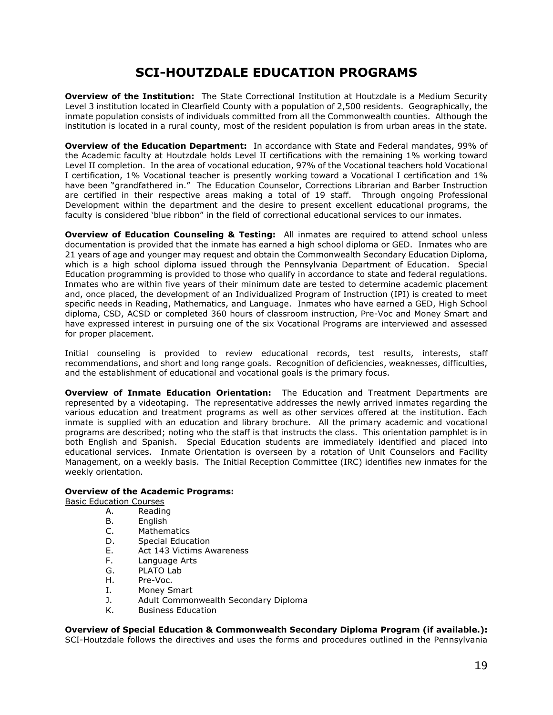## **SCI-HOUTZDALE EDUCATION PROGRAMS**

**Overview of the Institution:** The State Correctional Institution at Houtzdale is a Medium Security Level 3 institution located in Clearfield County with a population of 2,500 residents. Geographically, the inmate population consists of individuals committed from all the Commonwealth counties. Although the institution is located in a rural county, most of the resident population is from urban areas in the state.

**Overview of the Education Department:** In accordance with State and Federal mandates, 99% of the Academic faculty at Houtzdale holds Level II certifications with the remaining 1% working toward Level II completion. In the area of vocational education, 97% of the Vocational teachers hold Vocational I certification, 1% Vocational teacher is presently working toward a Vocational I certification and 1% have been "grandfathered in." The Education Counselor, Corrections Librarian and Barber Instruction are certified in their respective areas making a total of 19 staff. Through ongoing Professional Development within the department and the desire to present excellent educational programs, the faculty is considered 'blue ribbon" in the field of correctional educational services to our inmates.

**Overview of Education Counseling & Testing:** All inmates are required to attend school unless documentation is provided that the inmate has earned a high school diploma or GED. Inmates who are 21 years of age and younger may request and obtain the Commonwealth Secondary Education Diploma, which is a high school diploma issued through the Pennsylvania Department of Education. Special Education programming is provided to those who qualify in accordance to state and federal regulations. Inmates who are within five years of their minimum date are tested to determine academic placement and, once placed, the development of an Individualized Program of Instruction (IPI) is created to meet specific needs in Reading, Mathematics, and Language. Inmates who have earned a GED, High School diploma, CSD, ACSD or completed 360 hours of classroom instruction, Pre-Voc and Money Smart and have expressed interest in pursuing one of the six Vocational Programs are interviewed and assessed for proper placement.

Initial counseling is provided to review educational records, test results, interests, staff recommendations, and short and long range goals. Recognition of deficiencies, weaknesses, difficulties, and the establishment of educational and vocational goals is the primary focus.

**Overview of Inmate Education Orientation:** The Education and Treatment Departments are represented by a videotaping. The representative addresses the newly arrived inmates regarding the various education and treatment programs as well as other services offered at the institution. Each inmate is supplied with an education and library brochure. All the primary academic and vocational programs are described; noting who the staff is that instructs the class. This orientation pamphlet is in both English and Spanish. Special Education students are immediately identified and placed into educational services. Inmate Orientation is overseen by a rotation of Unit Counselors and Facility Management, on a weekly basis. The Initial Reception Committee (IRC) identifies new inmates for the weekly orientation.

#### **Overview of the Academic Programs:**

Basic Education Courses

- A. Reading<br>B. English
- B. English<br>C. Mathem
- **Mathematics**
- D. Special Education
- E. Act 143 Victims Awareness
- F. Language Arts
- G. PLATO Lab
- H. Pre-Voc.
- I. Money Smart
- J. Adult Commonwealth Secondary Diploma
- K. Business Education

## **Overview of Special Education & Commonwealth Secondary Diploma Program (if available.):**

SCI-Houtzdale follows the directives and uses the forms and procedures outlined in the Pennsylvania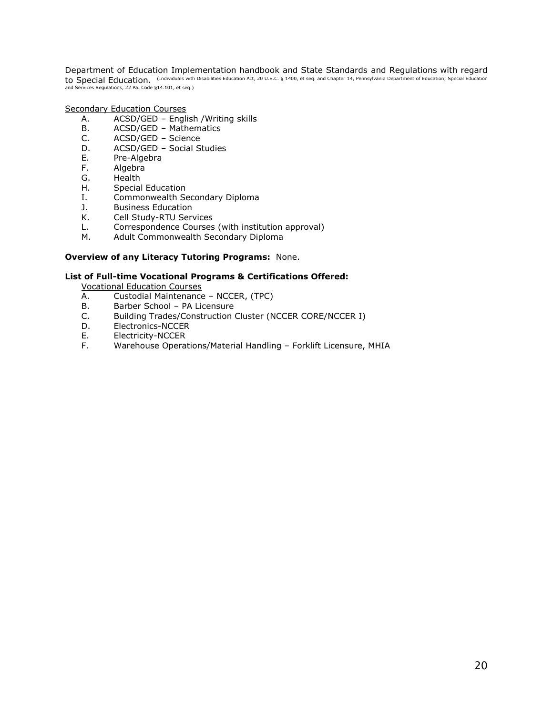Department of Education Implementation handbook and State Standards and Regulations with regard to Special Education. (Individuals with Disabilities Education Act, 20 U.S.C. § 1400, et seq. and Chapter 14, Pennsylvania Department of Education, Special Education and Services Regulations, 22 Pa. Code §14.101, et seq.)

Secondary Education Courses

- A. ACSD/GED English /Writing skills
- B. ACSD/GED Mathematics
- C. ACSD/GED Science
- D. ACSD/GED Social Studies
- E. Pre-Algebra
- F. Algebra
- G. Health
- H. Special Education
- I. Commonwealth Secondary Diploma
- J. Business Education
- K. Cell Study-RTU Services
- L. Correspondence Courses (with institution approval)
- M. Adult Commonwealth Secondary Diploma

#### **Overview of any Literacy Tutoring Programs:** None.

#### **List of Full-time Vocational Programs & Certifications Offered:**

Vocational Education Courses

- A. Custodial Maintenance NCCER, (TPC)
- B. Barber School PA Licensure
- C. Building Trades/Construction Cluster (NCCER CORE/NCCER I)
- D. Electronics-NCCER
- E. Electricity-NCCER
- F. Warehouse Operations/Material Handling Forklift Licensure, MHIA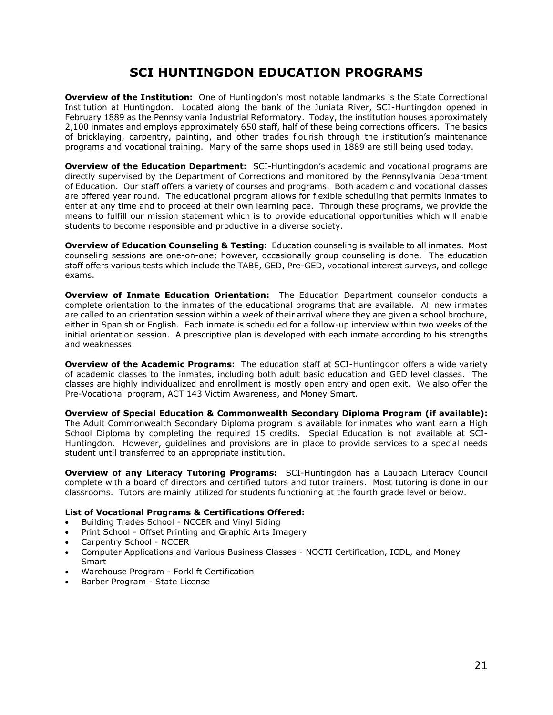## **SCI HUNTINGDON EDUCATION PROGRAMS**

**Overview of the Institution:** One of Huntingdon's most notable landmarks is the State Correctional Institution at Huntingdon. Located along the bank of the Juniata River, SCI-Huntingdon opened in February 1889 as the Pennsylvania Industrial Reformatory. Today, the institution houses approximately 2,100 inmates and employs approximately 650 staff, half of these being corrections officers. The basics of bricklaying, carpentry, painting, and other trades flourish through the institution's maintenance programs and vocational training. Many of the same shops used in 1889 are still being used today.

**Overview of the Education Department:** SCI-Huntingdon's academic and vocational programs are directly supervised by the Department of Corrections and monitored by the Pennsylvania Department of Education. Our staff offers a variety of courses and programs. Both academic and vocational classes are offered year round. The educational program allows for flexible scheduling that permits inmates to enter at any time and to proceed at their own learning pace. Through these programs, we provide the means to fulfill our mission statement which is to provide educational opportunities which will enable students to become responsible and productive in a diverse society.

**Overview of Education Counseling & Testing:** Education counseling is available to all inmates. Most counseling sessions are one-on-one; however, occasionally group counseling is done. The education staff offers various tests which include the TABE, GED, Pre-GED, vocational interest surveys, and college exams.

**Overview of Inmate Education Orientation:** The Education Department counselor conducts a complete orientation to the inmates of the educational programs that are available. All new inmates are called to an orientation session within a week of their arrival where they are given a school brochure, either in Spanish or English. Each inmate is scheduled for a follow-up interview within two weeks of the initial orientation session. A prescriptive plan is developed with each inmate according to his strengths and weaknesses.

**Overview of the Academic Programs:** The education staff at SCI-Huntingdon offers a wide variety of academic classes to the inmates, including both adult basic education and GED level classes. The classes are highly individualized and enrollment is mostly open entry and open exit. We also offer the Pre-Vocational program, ACT 143 Victim Awareness, and Money Smart.

**Overview of Special Education & Commonwealth Secondary Diploma Program (if available):** The Adult Commonwealth Secondary Diploma program is available for inmates who want earn a High School Diploma by completing the required 15 credits. Special Education is not available at SCI-Huntingdon. However, guidelines and provisions are in place to provide services to a special needs student until transferred to an appropriate institution.

**Overview of any Literacy Tutoring Programs:** SCI-Huntingdon has a Laubach Literacy Council complete with a board of directors and certified tutors and tutor trainers. Most tutoring is done in our classrooms. Tutors are mainly utilized for students functioning at the fourth grade level or below.

- Building Trades School NCCER and Vinyl Siding
- Print School Offset Printing and Graphic Arts Imagery
- Carpentry School NCCER
- Computer Applications and Various Business Classes NOCTI Certification, ICDL, and Money **Smart**
- Warehouse Program Forklift Certification
- Barber Program State License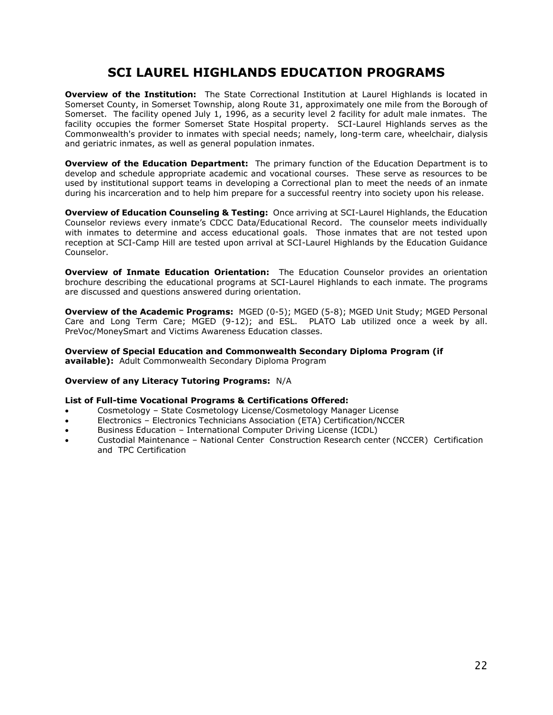## **SCI LAUREL HIGHLANDS EDUCATION PROGRAMS**

**Overview of the Institution:** The State Correctional Institution at Laurel Highlands is located in Somerset County, in Somerset Township, along Route 31, approximately one mile from the Borough of Somerset. The facility opened July 1, 1996, as a security level 2 facility for adult male inmates. The facility occupies the former Somerset State Hospital property. SCI-Laurel Highlands serves as the Commonwealth's provider to inmates with special needs; namely, long-term care, wheelchair, dialysis and geriatric inmates, as well as general population inmates.

**Overview of the Education Department:** The primary function of the Education Department is to develop and schedule appropriate academic and vocational courses. These serve as resources to be used by institutional support teams in developing a Correctional plan to meet the needs of an inmate during his incarceration and to help him prepare for a successful reentry into society upon his release.

**Overview of Education Counseling & Testing:** Once arriving at SCI-Laurel Highlands, the Education Counselor reviews every inmate's CDCC Data/Educational Record. The counselor meets individually with inmates to determine and access educational goals. Those inmates that are not tested upon reception at SCI-Camp Hill are tested upon arrival at SCI-Laurel Highlands by the Education Guidance Counselor.

**Overview of Inmate Education Orientation:** The Education Counselor provides an orientation brochure describing the educational programs at SCI-Laurel Highlands to each inmate. The programs are discussed and questions answered during orientation.

**Overview of the Academic Programs:** MGED (0-5); MGED (5-8); MGED Unit Study; MGED Personal Care and Long Term Care; MGED (9-12); and ESL. PLATO Lab utilized once a week by all. PreVoc/MoneySmart and Victims Awareness Education classes.

**Overview of Special Education and Commonwealth Secondary Diploma Program (if available):** Adult Commonwealth Secondary Diploma Program

#### **Overview of any Literacy Tutoring Programs:** N/A

- Cosmetology State Cosmetology License/Cosmetology Manager License
- Electronics Electronics Technicians Association (ETA) Certification/NCCER
- Business Education International Computer Driving License (ICDL)
- Custodial Maintenance National Center Construction Research center (NCCER) Certification and TPC Certification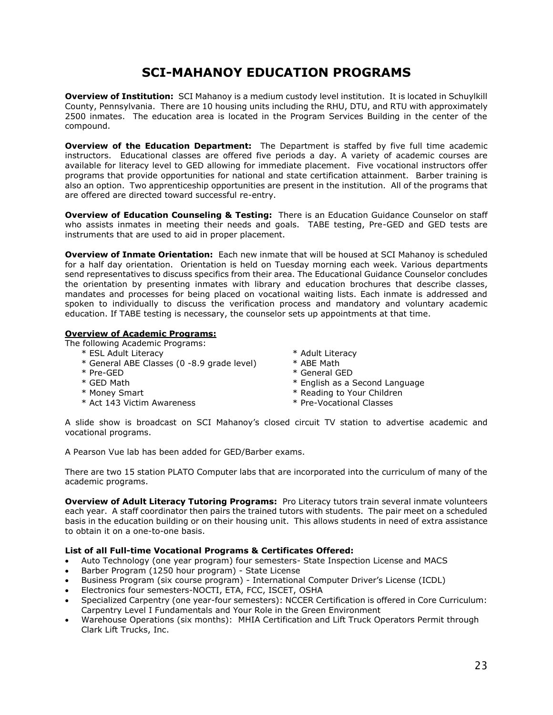## **SCI-MAHANOY EDUCATION PROGRAMS**

**Overview of Institution:** SCI Mahanoy is a medium custody level institution. It is located in Schuylkill County, Pennsylvania. There are 10 housing units including the RHU, DTU, and RTU with approximately 2500 inmates. The education area is located in the Program Services Building in the center of the compound.

**Overview of the Education Department:** The Department is staffed by five full time academic instructors. Educational classes are offered five periods a day. A variety of academic courses are available for literacy level to GED allowing for immediate placement. Five vocational instructors offer programs that provide opportunities for national and state certification attainment. Barber training is also an option. Two apprenticeship opportunities are present in the institution. All of the programs that are offered are directed toward successful re-entry.

**Overview of Education Counseling & Testing:** There is an Education Guidance Counselor on staff who assists inmates in meeting their needs and goals. TABE testing, Pre-GED and GED tests are instruments that are used to aid in proper placement.

**Overview of Inmate Orientation:** Each new inmate that will be housed at SCI Mahanoy is scheduled for a half day orientation. Orientation is held on Tuesday morning each week. Various departments send representatives to discuss specifics from their area. The Educational Guidance Counselor concludes the orientation by presenting inmates with library and education brochures that describe classes, mandates and processes for being placed on vocational waiting lists. Each inmate is addressed and spoken to individually to discuss the verification process and mandatory and voluntary academic education. If TABE testing is necessary, the counselor sets up appointments at that time.

### **Overview of Academic Programs:**

The following Academic Programs:

- 
- \* General ABE Classes (0 -8.9 grade level) \* ABE Math
- 
- 
- 
- \* Act 143 Victim Awareness \* Pre-Vocational Classes
- \* ESL Adult Literacy \* Adult Literacy
	-
- \* Pre-GED \* General GED
- \* GED Math \* English as a Second Language
- \* Money Smart \* Reading to Your Children
	-

A slide show is broadcast on SCI Mahanoy's closed circuit TV station to advertise academic and vocational programs.

A Pearson Vue lab has been added for GED/Barber exams.

There are two 15 station PLATO Computer labs that are incorporated into the curriculum of many of the academic programs.

**Overview of Adult Literacy Tutoring Programs:** Pro Literacy tutors train several inmate volunteers each year. A staff coordinator then pairs the trained tutors with students. The pair meet on a scheduled basis in the education building or on their housing unit. This allows students in need of extra assistance to obtain it on a one-to-one basis.

- Auto Technology (one year program) four semesters- State Inspection License and MACS
- Barber Program (1250 hour program) State License
- Business Program (six course program) International Computer Driver's License (ICDL)
- Electronics four semesters-NOCTI, ETA, FCC, ISCET, OSHA
- Specialized Carpentry (one year-four semesters): NCCER Certification is offered in Core Curriculum: Carpentry Level I Fundamentals and Your Role in the Green Environment
- Warehouse Operations (six months): MHIA Certification and Lift Truck Operators Permit through Clark Lift Trucks, Inc.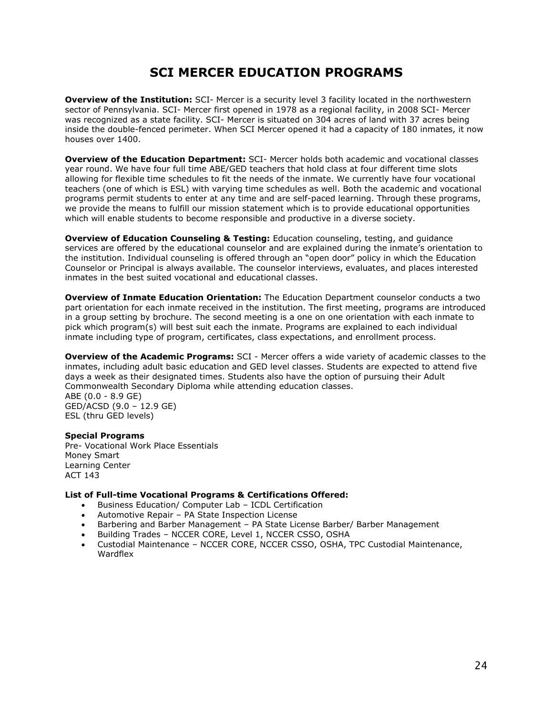## **SCI MERCER EDUCATION PROGRAMS**

**Overview of the Institution:** SCI- Mercer is a security level 3 facility located in the northwestern sector of Pennsylvania. SCI- Mercer first opened in 1978 as a regional facility, in 2008 SCI- Mercer was recognized as a state facility. SCI- Mercer is situated on 304 acres of land with 37 acres being inside the double-fenced perimeter. When SCI Mercer opened it had a capacity of 180 inmates, it now houses over 1400.

**Overview of the Education Department:** SCI- Mercer holds both academic and vocational classes year round. We have four full time ABE/GED teachers that hold class at four different time slots allowing for flexible time schedules to fit the needs of the inmate. We currently have four vocational teachers (one of which is ESL) with varying time schedules as well. Both the academic and vocational programs permit students to enter at any time and are self-paced learning. Through these programs, we provide the means to fulfill our mission statement which is to provide educational opportunities which will enable students to become responsible and productive in a diverse society.

**Overview of Education Counseling & Testing:** Education counseling, testing, and quidance services are offered by the educational counselor and are explained during the inmate's orientation to the institution. Individual counseling is offered through an "open door" policy in which the Education Counselor or Principal is always available. The counselor interviews, evaluates, and places interested inmates in the best suited vocational and educational classes.

**Overview of Inmate Education Orientation:** The Education Department counselor conducts a two part orientation for each inmate received in the institution. The first meeting, programs are introduced in a group setting by brochure. The second meeting is a one on one orientation with each inmate to pick which program(s) will best suit each the inmate. Programs are explained to each individual inmate including type of program, certificates, class expectations, and enrollment process.

**Overview of the Academic Programs:** SCI - Mercer offers a wide variety of academic classes to the inmates, including adult basic education and GED level classes. Students are expected to attend five days a week as their designated times. Students also have the option of pursuing their Adult Commonwealth Secondary Diploma while attending education classes. ABE (0.0 - 8.9 GE)

GED/ACSD (9.0 – 12.9 GE) ESL (thru GED levels)

#### **Special Programs**

Pre- Vocational Work Place Essentials Money Smart Learning Center ACT 143

- Business Education/ Computer Lab ICDL Certification
- Automotive Repair PA State Inspection License
- Barbering and Barber Management PA State License Barber/ Barber Management
- Building Trades NCCER CORE, Level 1, NCCER CSSO, OSHA
- Custodial Maintenance NCCER CORE, NCCER CSSO, OSHA, TPC Custodial Maintenance, Wardflex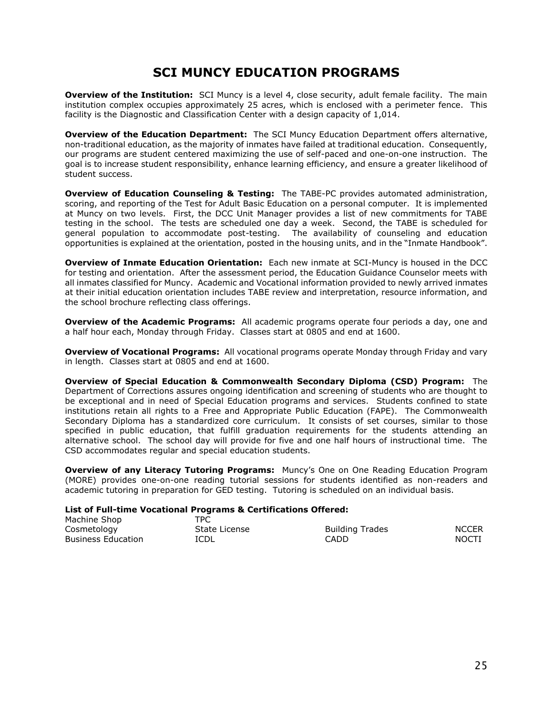## **SCI MUNCY EDUCATION PROGRAMS**

**Overview of the Institution:** SCI Muncy is a level 4, close security, adult female facility. The main institution complex occupies approximately 25 acres, which is enclosed with a perimeter fence. This facility is the Diagnostic and Classification Center with a design capacity of 1,014.

**Overview of the Education Department:** The SCI Muncy Education Department offers alternative, non-traditional education, as the majority of inmates have failed at traditional education. Consequently, our programs are student centered maximizing the use of self-paced and one-on-one instruction. The goal is to increase student responsibility, enhance learning efficiency, and ensure a greater likelihood of student success.

**Overview of Education Counseling & Testing:** The TABE-PC provides automated administration, scoring, and reporting of the Test for Adult Basic Education on a personal computer. It is implemented at Muncy on two levels. First, the DCC Unit Manager provides a list of new commitments for TABE testing in the school. The tests are scheduled one day a week. Second, the TABE is scheduled for general population to accommodate post-testing. The availability of counseling and education opportunities is explained at the orientation, posted in the housing units, and in the "Inmate Handbook".

**Overview of Inmate Education Orientation:** Each new inmate at SCI-Muncy is housed in the DCC for testing and orientation. After the assessment period, the Education Guidance Counselor meets with all inmates classified for Muncy. Academic and Vocational information provided to newly arrived inmates at their initial education orientation includes TABE review and interpretation, resource information, and the school brochure reflecting class offerings.

**Overview of the Academic Programs:** All academic programs operate four periods a day, one and a half hour each, Monday through Friday. Classes start at 0805 and end at 1600.

**Overview of Vocational Programs:** All vocational programs operate Monday through Friday and vary in length. Classes start at 0805 and end at 1600.

**Overview of Special Education & Commonwealth Secondary Diploma (CSD) Program:** The Department of Corrections assures ongoing identification and screening of students who are thought to be exceptional and in need of Special Education programs and services. Students confined to state institutions retain all rights to a Free and Appropriate Public Education (FAPE). The Commonwealth Secondary Diploma has a standardized core curriculum. It consists of set courses, similar to those specified in public education, that fulfill graduation requirements for the students attending an alternative school. The school day will provide for five and one half hours of instructional time. The CSD accommodates regular and special education students.

**Overview of any Literacy Tutoring Programs:** Muncy's One on One Reading Education Program (MORE) provides one-on-one reading tutorial sessions for students identified as non-readers and academic tutoring in preparation for GED testing. Tutoring is scheduled on an individual basis.

| Machine Shop              | TPC.          |                        |              |
|---------------------------|---------------|------------------------|--------------|
| Cosmetology               | State License | <b>Building Trades</b> | <b>NCCER</b> |
| <b>Business Education</b> | <b>ICDL</b>   | CADD.                  | NOCTI        |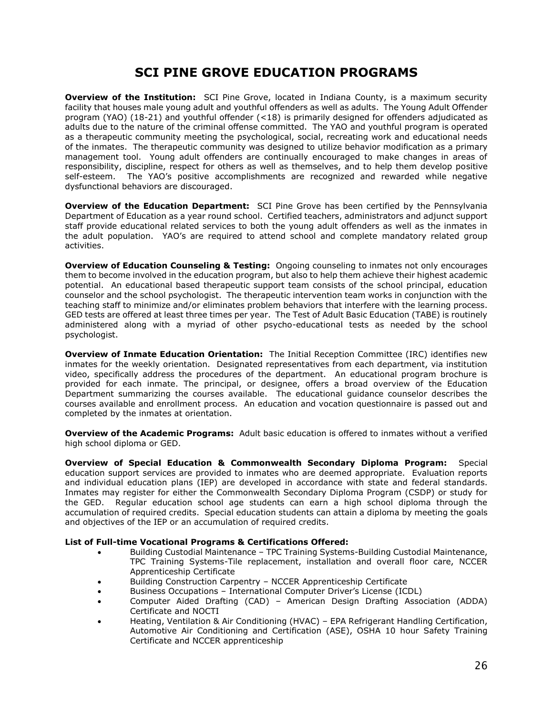## **SCI PINE GROVE EDUCATION PROGRAMS**

**Overview of the Institution:** SCI Pine Grove, located in Indiana County, is a maximum security facility that houses male young adult and youthful offenders as well as adults. The Young Adult Offender program (YAO) (18-21) and youthful offender (<18) is primarily designed for offenders adjudicated as adults due to the nature of the criminal offense committed. The YAO and youthful program is operated as a therapeutic community meeting the psychological, social, recreating work and educational needs of the inmates. The therapeutic community was designed to utilize behavior modification as a primary management tool. Young adult offenders are continually encouraged to make changes in areas of responsibility, discipline, respect for others as well as themselves, and to help them develop positive self-esteem. The YAO's positive accomplishments are recognized and rewarded while negative dysfunctional behaviors are discouraged.

**Overview of the Education Department:** SCI Pine Grove has been certified by the Pennsylvania Department of Education as a year round school. Certified teachers, administrators and adjunct support staff provide educational related services to both the young adult offenders as well as the inmates in the adult population. YAO's are required to attend school and complete mandatory related group activities.

**Overview of Education Counseling & Testing:** Ongoing counseling to inmates not only encourages them to become involved in the education program, but also to help them achieve their highest academic potential. An educational based therapeutic support team consists of the school principal, education counselor and the school psychologist. The therapeutic intervention team works in conjunction with the teaching staff to minimize and/or eliminates problem behaviors that interfere with the learning process. GED tests are offered at least three times per year. The Test of Adult Basic Education (TABE) is routinely administered along with a myriad of other psycho-educational tests as needed by the school psychologist.

**Overview of Inmate Education Orientation:** The Initial Reception Committee (IRC) identifies new inmates for the weekly orientation. Designated representatives from each department, via institution video, specifically address the procedures of the department. An educational program brochure is provided for each inmate. The principal, or designee, offers a broad overview of the Education Department summarizing the courses available. The educational guidance counselor describes the courses available and enrollment process. An education and vocation questionnaire is passed out and completed by the inmates at orientation.

**Overview of the Academic Programs:** Adult basic education is offered to inmates without a verified high school diploma or GED.

**Overview of Special Education & Commonwealth Secondary Diploma Program:** Special education support services are provided to inmates who are deemed appropriate. Evaluation reports and individual education plans (IEP) are developed in accordance with state and federal standards. Inmates may register for either the Commonwealth Secondary Diploma Program (CSDP) or study for the GED. Regular education school age students can earn a high school diploma through the accumulation of required credits. Special education students can attain a diploma by meeting the goals and objectives of the IEP or an accumulation of required credits.

- Building Custodial Maintenance TPC Training Systems-Building Custodial Maintenance, TPC Training Systems-Tile replacement, installation and overall floor care, NCCER Apprenticeship Certificate
- Building Construction Carpentry NCCER Apprenticeship Certificate
- Business Occupations International Computer Driver's License (ICDL)
- Computer Aided Drafting (CAD) American Design Drafting Association (ADDA) Certificate and NOCTI
- Heating, Ventilation & Air Conditioning (HVAC) EPA Refrigerant Handling Certification, Automotive Air Conditioning and Certification (ASE), OSHA 10 hour Safety Training Certificate and NCCER apprenticeship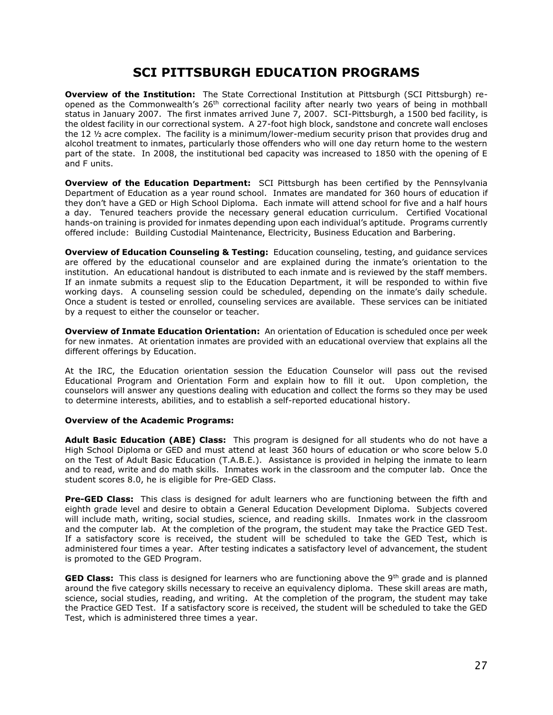## **SCI PITTSBURGH EDUCATION PROGRAMS**

**Overview of the Institution:** The State Correctional Institution at Pittsburgh (SCI Pittsburgh) reopened as the Commonwealth's 26<sup>th</sup> correctional facility after nearly two years of being in mothball status in January 2007. The first inmates arrived June 7, 2007. SCI-Pittsburgh, a 1500 bed facility, is the oldest facility in our correctional system. A 27-foot high block, sandstone and concrete wall encloses the 12 ½ acre complex. The facility is a minimum/lower-medium security prison that provides drug and alcohol treatment to inmates, particularly those offenders who will one day return home to the western part of the state. In 2008, the institutional bed capacity was increased to 1850 with the opening of E and F units.

**Overview of the Education Department:** SCI Pittsburgh has been certified by the Pennsylvania Department of Education as a year round school. Inmates are mandated for 360 hours of education if they don't have a GED or High School Diploma. Each inmate will attend school for five and a half hours a day. Tenured teachers provide the necessary general education curriculum. Certified Vocational hands-on training is provided for inmates depending upon each individual's aptitude. Programs currently offered include: Building Custodial Maintenance, Electricity, Business Education and Barbering.

**Overview of Education Counseling & Testing:** Education counseling, testing, and guidance services are offered by the educational counselor and are explained during the inmate's orientation to the institution. An educational handout is distributed to each inmate and is reviewed by the staff members. If an inmate submits a request slip to the Education Department, it will be responded to within five working days. A counseling session could be scheduled, depending on the inmate's daily schedule. Once a student is tested or enrolled, counseling services are available. These services can be initiated by a request to either the counselor or teacher.

**Overview of Inmate Education Orientation:** An orientation of Education is scheduled once per week for new inmates. At orientation inmates are provided with an educational overview that explains all the different offerings by Education.

At the IRC, the Education orientation session the Education Counselor will pass out the revised Educational Program and Orientation Form and explain how to fill it out. Upon completion, the counselors will answer any questions dealing with education and collect the forms so they may be used to determine interests, abilities, and to establish a self-reported educational history.

#### **Overview of the Academic Programs:**

**Adult Basic Education (ABE) Class:** This program is designed for all students who do not have a High School Diploma or GED and must attend at least 360 hours of education or who score below 5.0 on the Test of Adult Basic Education (T.A.B.E.). Assistance is provided in helping the inmate to learn and to read, write and do math skills. Inmates work in the classroom and the computer lab. Once the student scores 8.0, he is eligible for Pre-GED Class.

**Pre-GED Class:** This class is designed for adult learners who are functioning between the fifth and eighth grade level and desire to obtain a General Education Development Diploma. Subjects covered will include math, writing, social studies, science, and reading skills. Inmates work in the classroom and the computer lab. At the completion of the program, the student may take the Practice GED Test. If a satisfactory score is received, the student will be scheduled to take the GED Test, which is administered four times a year. After testing indicates a satisfactory level of advancement, the student is promoted to the GED Program.

**GED Class:** This class is designed for learners who are functioning above the 9<sup>th</sup> grade and is planned around the five category skills necessary to receive an equivalency diploma. These skill areas are math, science, social studies, reading, and writing. At the completion of the program, the student may take the Practice GED Test. If a satisfactory score is received, the student will be scheduled to take the GED Test, which is administered three times a year.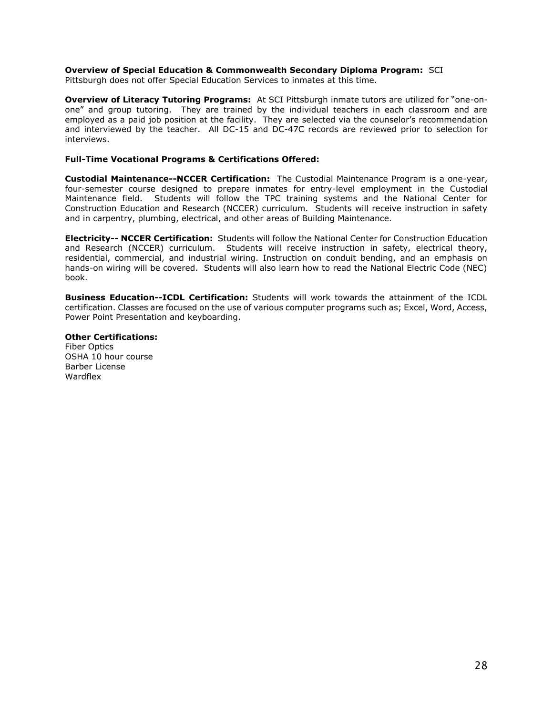#### **Overview of Special Education & Commonwealth Secondary Diploma Program:** SCI

Pittsburgh does not offer Special Education Services to inmates at this time.

**Overview of Literacy Tutoring Programs:** At SCI Pittsburgh inmate tutors are utilized for "one-onone" and group tutoring. They are trained by the individual teachers in each classroom and are employed as a paid job position at the facility. They are selected via the counselor's recommendation and interviewed by the teacher. All DC-15 and DC-47C records are reviewed prior to selection for interviews.

#### **Full-Time Vocational Programs & Certifications Offered:**

**Custodial Maintenance--NCCER Certification:** The Custodial Maintenance Program is a one-year, four-semester course designed to prepare inmates for entry-level employment in the Custodial Maintenance field. Students will follow the TPC training systems and the National Center for Construction Education and Research (NCCER) curriculum. Students will receive instruction in safety and in carpentry, plumbing, electrical, and other areas of Building Maintenance.

**Electricity-- NCCER Certification:** Students will follow the National Center for Construction Education and Research (NCCER) curriculum. Students will receive instruction in safety, electrical theory, residential, commercial, and industrial wiring. Instruction on conduit bending, and an emphasis on hands-on wiring will be covered. Students will also learn how to read the National Electric Code (NEC) book.

**Business Education--ICDL Certification:** Students will work towards the attainment of the ICDL certification. Classes are focused on the use of various computer programs such as; Excel, Word, Access, Power Point Presentation and keyboarding.

#### **Other Certifications:**

Fiber Optics OSHA 10 hour course Barber License Wardflex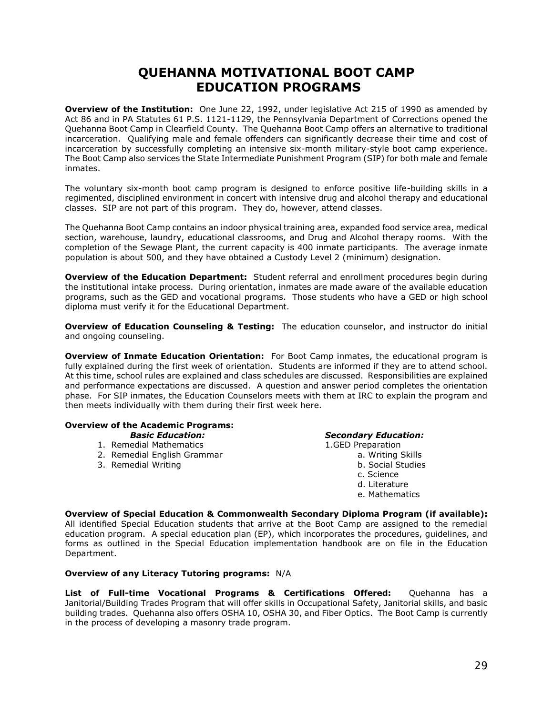## **QUEHANNA MOTIVATIONAL BOOT CAMP EDUCATION PROGRAMS**

**Overview of the Institution:** One June 22, 1992, under legislative Act 215 of 1990 as amended by Act 86 and in PA Statutes 61 P.S. 1121-1129, the Pennsylvania Department of Corrections opened the Quehanna Boot Camp in Clearfield County. The Quehanna Boot Camp offers an alternative to traditional incarceration. Qualifying male and female offenders can significantly decrease their time and cost of incarceration by successfully completing an intensive six-month military-style boot camp experience. The Boot Camp also services the State Intermediate Punishment Program (SIP) for both male and female inmates.

The voluntary six-month boot camp program is designed to enforce positive life-building skills in a regimented, disciplined environment in concert with intensive drug and alcohol therapy and educational classes. SIP are not part of this program. They do, however, attend classes.

The Quehanna Boot Camp contains an indoor physical training area, expanded food service area, medical section, warehouse, laundry, educational classrooms, and Drug and Alcohol therapy rooms. With the completion of the Sewage Plant, the current capacity is 400 inmate participants. The average inmate population is about 500, and they have obtained a Custody Level 2 (minimum) designation.

**Overview of the Education Department:** Student referral and enrollment procedures begin during the institutional intake process. During orientation, inmates are made aware of the available education programs, such as the GED and vocational programs. Those students who have a GED or high school diploma must verify it for the Educational Department.

**Overview of Education Counseling & Testing:** The education counselor, and instructor do initial and ongoing counseling.

**Overview of Inmate Education Orientation:** For Boot Camp inmates, the educational program is fully explained during the first week of orientation. Students are informed if they are to attend school. At this time, school rules are explained and class schedules are discussed. Responsibilities are explained and performance expectations are discussed. A question and answer period completes the orientation phase. For SIP inmates, the Education Counselors meets with them at IRC to explain the program and then meets individually with them during their first week here.

#### **Overview of the Academic Programs:**

- 1. Remedial Mathematics 1.GED Preparation
- 2. Remedial English Grammar a. Writing Skills
- 

#### *Basic Education: Secondary Education:*

- 3. Remedial Writing b. Social Studies c. Science
	-
	- d. Literature
	- e. Mathematics

**Overview of Special Education & Commonwealth Secondary Diploma Program (if available):**  All identified Special Education students that arrive at the Boot Camp are assigned to the remedial education program. A special education plan (EP), which incorporates the procedures, guidelines, and forms as outlined in the Special Education implementation handbook are on file in the Education Department.

#### **Overview of any Literacy Tutoring programs:** N/A

**List of Full-time Vocational Programs & Certifications Offered:** Quehanna has a Janitorial/Building Trades Program that will offer skills in Occupational Safety, Janitorial skills, and basic building trades. Quehanna also offers OSHA 10, OSHA 30, and Fiber Optics. The Boot Camp is currently in the process of developing a masonry trade program.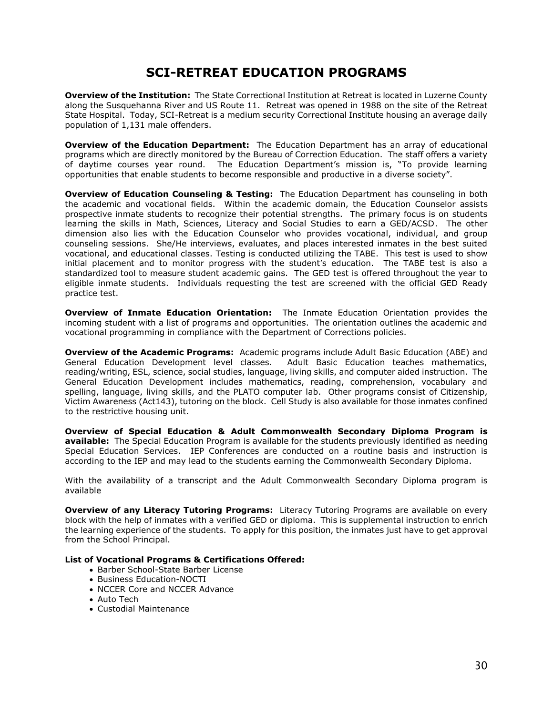## **SCI-RETREAT EDUCATION PROGRAMS**

**Overview of the Institution:** The State Correctional Institution at Retreat is located in Luzerne County along the Susquehanna River and US Route 11. Retreat was opened in 1988 on the site of the Retreat State Hospital. Today, SCI-Retreat is a medium security Correctional Institute housing an average daily population of 1,131 male offenders.

**Overview of the Education Department:** The Education Department has an array of educational programs which are directly monitored by the Bureau of Correction Education. The staff offers a variety of daytime courses year round. The Education Department's mission is, "To provide learning opportunities that enable students to become responsible and productive in a diverse society".

**Overview of Education Counseling & Testing:** The Education Department has counseling in both the academic and vocational fields. Within the academic domain, the Education Counselor assists prospective inmate students to recognize their potential strengths. The primary focus is on students learning the skills in Math, Sciences, Literacy and Social Studies to earn a GED/ACSD. The other dimension also lies with the Education Counselor who provides vocational, individual, and group counseling sessions. She/He interviews, evaluates, and places interested inmates in the best suited vocational, and educational classes. Testing is conducted utilizing the TABE. This test is used to show initial placement and to monitor progress with the student's education. The TABE test is also a standardized tool to measure student academic gains. The GED test is offered throughout the year to eligible inmate students. Individuals requesting the test are screened with the official GED Ready practice test.

**Overview of Inmate Education Orientation:** The Inmate Education Orientation provides the incoming student with a list of programs and opportunities. The orientation outlines the academic and vocational programming in compliance with the Department of Corrections policies.

**Overview of the Academic Programs:** Academic programs include Adult Basic Education (ABE) and General Education Development level classes. Adult Basic Education teaches mathematics, reading/writing, ESL, science, social studies, language, living skills, and computer aided instruction. The General Education Development includes mathematics, reading, comprehension, vocabulary and spelling, language, living skills, and the PLATO computer lab. Other programs consist of Citizenship, Victim Awareness (Act143), tutoring on the block. Cell Study is also available for those inmates confined to the restrictive housing unit.

**Overview of Special Education & Adult Commonwealth Secondary Diploma Program is available:** The Special Education Program is available for the students previously identified as needing Special Education Services. IEP Conferences are conducted on a routine basis and instruction is according to the IEP and may lead to the students earning the Commonwealth Secondary Diploma.

With the availability of a transcript and the Adult Commonwealth Secondary Diploma program is available

**Overview of any Literacy Tutoring Programs:** Literacy Tutoring Programs are available on every block with the help of inmates with a verified GED or diploma. This is supplemental instruction to enrich the learning experience of the students. To apply for this position, the inmates just have to get approval from the School Principal.

- Barber School-State Barber License
- Business Education-NOCTI
- NCCER Core and NCCER Advance
- Auto Tech
- Custodial Maintenance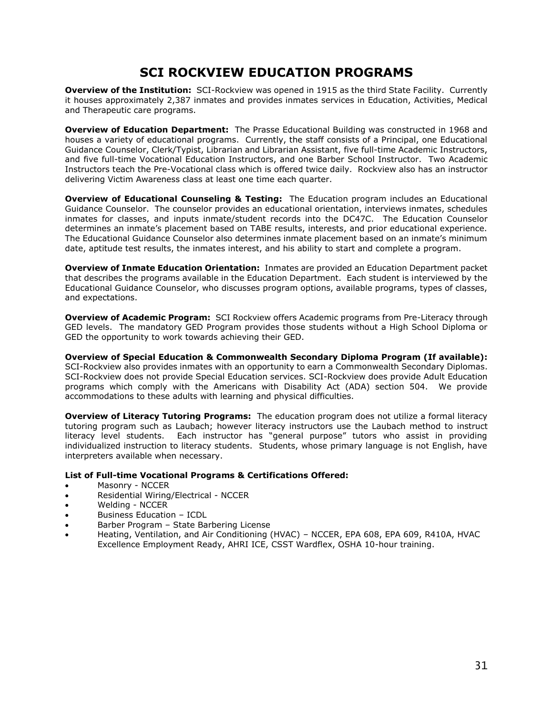## **SCI ROCKVIEW EDUCATION PROGRAMS**

**Overview of the Institution:** SCI-Rockview was opened in 1915 as the third State Facility. Currently it houses approximately 2,387 inmates and provides inmates services in Education, Activities, Medical and Therapeutic care programs.

**Overview of Education Department:** The Prasse Educational Building was constructed in 1968 and houses a variety of educational programs. Currently, the staff consists of a Principal, one Educational Guidance Counselor, Clerk/Typist, Librarian and Librarian Assistant, five full-time Academic Instructors, and five full-time Vocational Education Instructors, and one Barber School Instructor. Two Academic Instructors teach the Pre-Vocational class which is offered twice daily. Rockview also has an instructor delivering Victim Awareness class at least one time each quarter.

**Overview of Educational Counseling & Testing:** The Education program includes an Educational Guidance Counselor. The counselor provides an educational orientation, interviews inmates, schedules inmates for classes, and inputs inmate/student records into the DC47C. The Education Counselor determines an inmate's placement based on TABE results, interests, and prior educational experience. The Educational Guidance Counselor also determines inmate placement based on an inmate's minimum date, aptitude test results, the inmates interest, and his ability to start and complete a program.

**Overview of Inmate Education Orientation:** Inmates are provided an Education Department packet that describes the programs available in the Education Department. Each student is interviewed by the Educational Guidance Counselor, who discusses program options, available programs, types of classes, and expectations.

**Overview of Academic Program:** SCI Rockview offers Academic programs from Pre-Literacy through GED levels. The mandatory GED Program provides those students without a High School Diploma or GED the opportunity to work towards achieving their GED.

**Overview of Special Education & Commonwealth Secondary Diploma Program (If available):**  SCI-Rockview also provides inmates with an opportunity to earn a Commonwealth Secondary Diplomas. SCI-Rockview does not provide Special Education services. SCI-Rockview does provide Adult Education programs which comply with the Americans with Disability Act (ADA) section 504. We provide accommodations to these adults with learning and physical difficulties.

**Overview of Literacy Tutoring Programs:** The education program does not utilize a formal literacy tutoring program such as Laubach; however literacy instructors use the Laubach method to instruct literacy level students. Each instructor has "general purpose" tutors who assist in providing individualized instruction to literacy students. Students, whose primary language is not English, have interpreters available when necessary.

- Masonry NCCER
- Residential Wiring/Electrical NCCER
- Welding NCCER
- Business Education ICDL
- Barber Program State Barbering License
- Heating, Ventilation, and Air Conditioning (HVAC) NCCER, EPA 608, EPA 609, R410A, HVAC Excellence Employment Ready, AHRI ICE, CSST Wardflex, OSHA 10-hour training.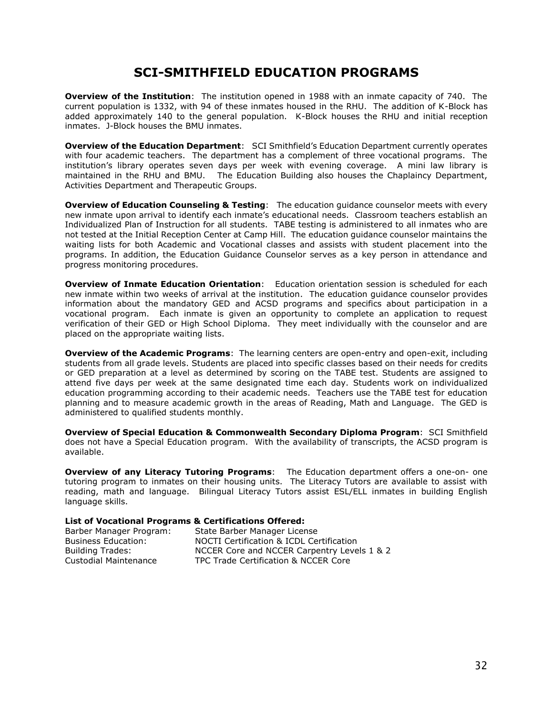## **SCI-SMITHFIELD EDUCATION PROGRAMS**

**Overview of the Institution**: The institution opened in 1988 with an inmate capacity of 740. The current population is 1332, with 94 of these inmates housed in the RHU. The addition of K-Block has added approximately 140 to the general population. K-Block houses the RHU and initial reception inmates. J-Block houses the BMU inmates.

**Overview of the Education Department**: SCI Smithfield's Education Department currently operates with four academic teachers. The department has a complement of three vocational programs. The institution's library operates seven days per week with evening coverage. A mini law library is maintained in the RHU and BMU. The Education Building also houses the Chaplaincy Department, Activities Department and Therapeutic Groups.

**Overview of Education Counseling & Testing**: The education guidance counselor meets with every new inmate upon arrival to identify each inmate's educational needs. Classroom teachers establish an Individualized Plan of Instruction for all students. TABE testing is administered to all inmates who are not tested at the Initial Reception Center at Camp Hill. The education guidance counselor maintains the waiting lists for both Academic and Vocational classes and assists with student placement into the programs. In addition, the Education Guidance Counselor serves as a key person in attendance and progress monitoring procedures.

**Overview of Inmate Education Orientation**: Education orientation session is scheduled for each new inmate within two weeks of arrival at the institution. The education guidance counselor provides information about the mandatory GED and ACSD programs and specifics about participation in a vocational program. Each inmate is given an opportunity to complete an application to request verification of their GED or High School Diploma. They meet individually with the counselor and are placed on the appropriate waiting lists.

**Overview of the Academic Programs**: The learning centers are open-entry and open-exit, including students from all grade levels. Students are placed into specific classes based on their needs for credits or GED preparation at a level as determined by scoring on the TABE test. Students are assigned to attend five days per week at the same designated time each day. Students work on individualized education programming according to their academic needs. Teachers use the TABE test for education planning and to measure academic growth in the areas of Reading, Math and Language. The GED is administered to qualified students monthly.

**Overview of Special Education & Commonwealth Secondary Diploma Program**: SCI Smithfield does not have a Special Education program. With the availability of transcripts, the ACSD program is available.

**Overview of any Literacy Tutoring Programs**: The Education department offers a one-on- one tutoring program to inmates on their housing units. The Literacy Tutors are available to assist with reading, math and language. Bilingual Literacy Tutors assist ESL/ELL inmates in building English language skills.

| Barber Manager Program:    | State Barber Manager License                |
|----------------------------|---------------------------------------------|
| <b>Business Education:</b> | NOCTI Certification & ICDL Certification    |
| <b>Building Trades:</b>    | NCCER Core and NCCER Carpentry Levels 1 & 2 |
| Custodial Maintenance      | TPC Trade Certification & NCCER Core        |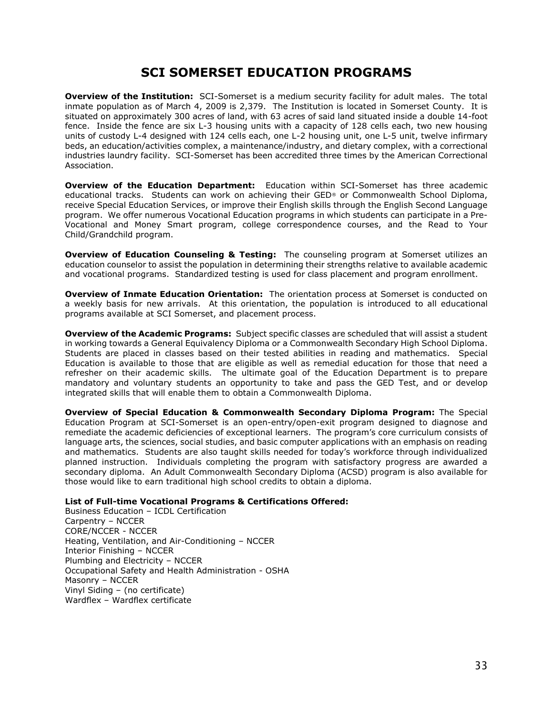## **SCI SOMERSET EDUCATION PROGRAMS**

**Overview of the Institution:** SCI-Somerset is a medium security facility for adult males. The total inmate population as of March 4, 2009 is 2,379. The Institution is located in Somerset County. It is situated on approximately 300 acres of land, with 63 acres of said land situated inside a double 14-foot fence. Inside the fence are six L-3 housing units with a capacity of 128 cells each, two new housing units of custody L-4 designed with 124 cells each, one L-2 housing unit, one L-5 unit, twelve infirmary beds, an education/activities complex, a maintenance/industry, and dietary complex, with a correctional industries laundry facility. SCI-Somerset has been accredited three times by the American Correctional Association.

**Overview of the Education Department:** Education within SCI-Somerset has three academic educational tracks. Students can work on achieving their GED® or Commonwealth School Diploma, receive Special Education Services, or improve their English skills through the English Second Language program. We offer numerous Vocational Education programs in which students can participate in a Pre-Vocational and Money Smart program, college correspondence courses, and the Read to Your Child/Grandchild program.

**Overview of Education Counseling & Testing:** The counseling program at Somerset utilizes an education counselor to assist the population in determining their strengths relative to available academic and vocational programs. Standardized testing is used for class placement and program enrollment.

**Overview of Inmate Education Orientation:** The orientation process at Somerset is conducted on a weekly basis for new arrivals. At this orientation, the population is introduced to all educational programs available at SCI Somerset, and placement process.

**Overview of the Academic Programs:** Subject specific classes are scheduled that will assist a student in working towards a General Equivalency Diploma or a Commonwealth Secondary High School Diploma. Students are placed in classes based on their tested abilities in reading and mathematics. Special Education is available to those that are eligible as well as remedial education for those that need a refresher on their academic skills. The ultimate goal of the Education Department is to prepare mandatory and voluntary students an opportunity to take and pass the GED Test, and or develop integrated skills that will enable them to obtain a Commonwealth Diploma.

**Overview of Special Education & Commonwealth Secondary Diploma Program:** The Special Education Program at SCI-Somerset is an open-entry/open-exit program designed to diagnose and remediate the academic deficiencies of exceptional learners. The program's core curriculum consists of language arts, the sciences, social studies, and basic computer applications with an emphasis on reading and mathematics. Students are also taught skills needed for today's workforce through individualized planned instruction. Individuals completing the program with satisfactory progress are awarded a secondary diploma. An Adult Commonwealth Secondary Diploma (ACSD) program is also available for those would like to earn traditional high school credits to obtain a diploma.

#### **List of Full-time Vocational Programs & Certifications Offered:**

Business Education – ICDL Certification Carpentry – NCCER CORE/NCCER - NCCER Heating, Ventilation, and Air-Conditioning – NCCER Interior Finishing – NCCER Plumbing and Electricity – NCCER Occupational Safety and Health Administration - OSHA Masonry – NCCER Vinyl Siding – (no certificate) Wardflex – Wardflex certificate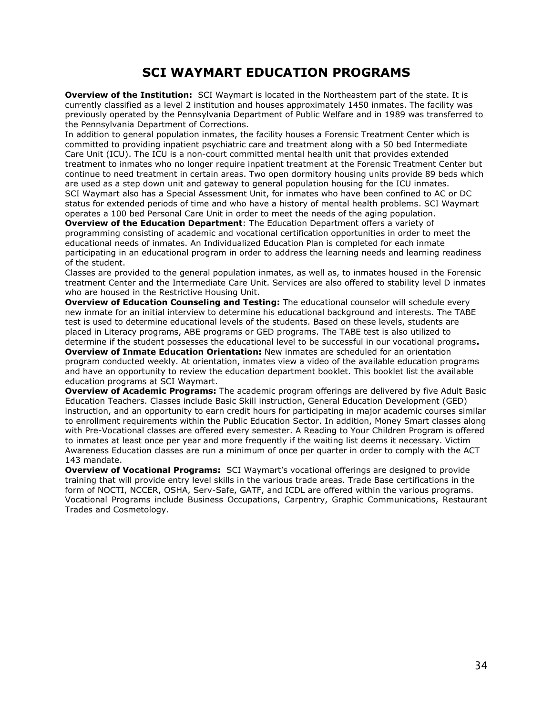## **SCI WAYMART EDUCATION PROGRAMS**

**Overview of the Institution:** SCI Waymart is located in the Northeastern part of the state. It is currently classified as a level 2 institution and houses approximately 1450 inmates. The facility was previously operated by the Pennsylvania Department of Public Welfare and in 1989 was transferred to the Pennsylvania Department of Corrections.

In addition to general population inmates, the facility houses a Forensic Treatment Center which is committed to providing inpatient psychiatric care and treatment along with a 50 bed Intermediate Care Unit (ICU). The ICU is a non-court committed mental health unit that provides extended treatment to inmates who no longer require inpatient treatment at the Forensic Treatment Center but continue to need treatment in certain areas. Two open dormitory housing units provide 89 beds which are used as a step down unit and gateway to general population housing for the ICU inmates. SCI Waymart also has a Special Assessment Unit, for inmates who have been confined to AC or DC status for extended periods of time and who have a history of mental health problems. SCI Waymart operates a 100 bed Personal Care Unit in order to meet the needs of the aging population.

**Overview of the Education Department**: The Education Department offers a variety of programming consisting of academic and vocational certification opportunities in order to meet the educational needs of inmates. An Individualized Education Plan is completed for each inmate participating in an educational program in order to address the learning needs and learning readiness of the student.

Classes are provided to the general population inmates, as well as, to inmates housed in the Forensic treatment Center and the Intermediate Care Unit. Services are also offered to stability level D inmates who are housed in the Restrictive Housing Unit.

**Overview of Education Counseling and Testing:** The educational counselor will schedule every new inmate for an initial interview to determine his educational background and interests. The TABE test is used to determine educational levels of the students. Based on these levels, students are placed in Literacy programs, ABE programs or GED programs. The TABE test is also utilized to determine if the student possesses the educational level to be successful in our vocational programs**.**

**Overview of Inmate Education Orientation:** New inmates are scheduled for an orientation program conducted weekly. At orientation, inmates view a video of the available education programs and have an opportunity to review the education department booklet. This booklet list the available education programs at SCI Waymart.

**Overview of Academic Programs:** The academic program offerings are delivered by five Adult Basic Education Teachers. Classes include Basic Skill instruction, General Education Development (GED) instruction, and an opportunity to earn credit hours for participating in major academic courses similar to enrollment requirements within the Public Education Sector. In addition, Money Smart classes along with Pre-Vocational classes are offered every semester. A Reading to Your Children Program is offered to inmates at least once per year and more frequently if the waiting list deems it necessary. Victim Awareness Education classes are run a minimum of once per quarter in order to comply with the ACT 143 mandate.

**Overview of Vocational Programs:** SCI Waymart's vocational offerings are designed to provide training that will provide entry level skills in the various trade areas. Trade Base certifications in the form of NOCTI, NCCER, OSHA, Serv-Safe, GATF, and ICDL are offered within the various programs. Vocational Programs include Business Occupations, Carpentry, Graphic Communications, Restaurant Trades and Cosmetology.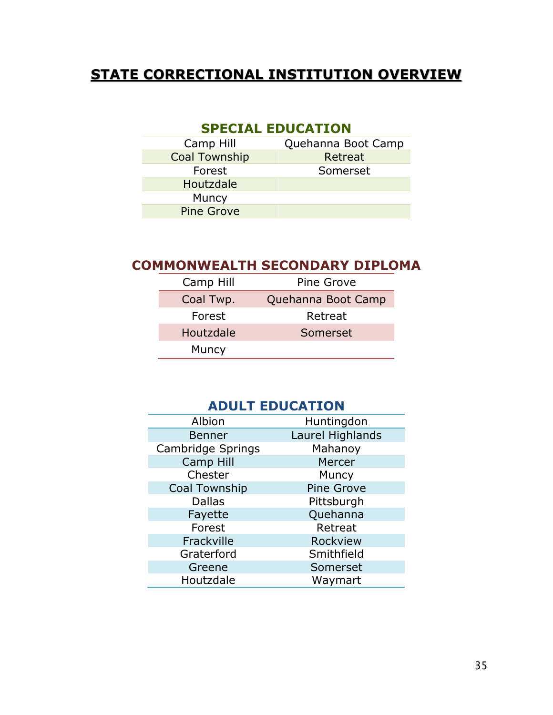## **STATE CORRECTIONAL INSTITUTION OVERVIEW**

## **SPECIAL EDUCATION**

| Camp Hill            | Quehanna Boot Camp |
|----------------------|--------------------|
| <b>Coal Township</b> | Retreat            |
| Forest               | Somerset           |
| Houtzdale            |                    |
| Muncy                |                    |
| <b>Pine Grove</b>    |                    |
|                      |                    |

## **COMMONWEALTH SECONDARY DIPLOMA**

| Camp Hill | Pine Grove         |
|-----------|--------------------|
| Coal Twp. | Quehanna Boot Camp |
| Forest    | Retreat            |
| Houtzdale | Somerset           |
| Muncy     |                    |

## **ADULT EDUCATION**

| Albion               | Huntingdon        |
|----------------------|-------------------|
| <b>Benner</b>        | Laurel Highlands  |
| Cambridge Springs    | Mahanoy           |
| Camp Hill            | Mercer            |
| Chester              | Muncy             |
| <b>Coal Township</b> | <b>Pine Grove</b> |
| <b>Dallas</b>        | Pittsburgh        |
| Fayette              | Quehanna          |
| Forest               | Retreat           |
| Frackville           | Rockview          |
| Graterford           | Smithfield        |
| Greene               | Somerset          |
| Houtzdale            | Waymart           |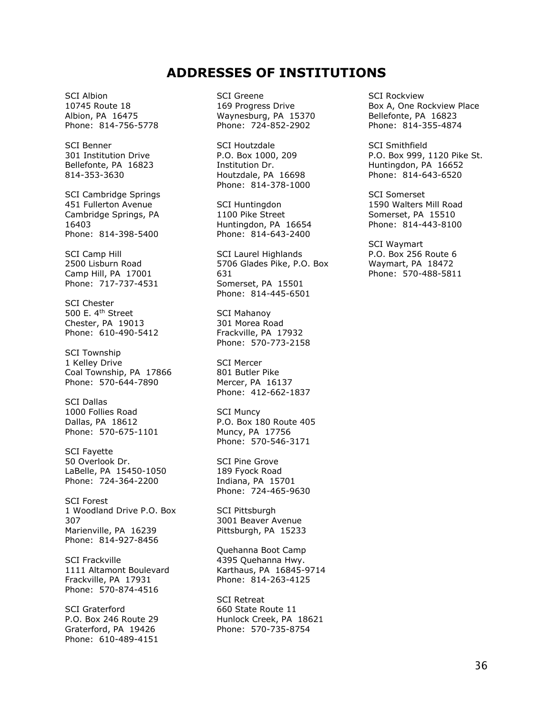### **ADDRESSES OF INSTITUTIONS**

SCI Albion 10745 Route 18 Albion, PA 16475 Phone: 814-756-5778

SCI Benner 301 Institution Drive Bellefonte, PA 16823 814-353-3630

SCI Cambridge Springs 451 Fullerton Avenue Cambridge Springs, PA 16403 Phone: 814-398-5400

SCI Camp Hill 2500 Lisburn Road Camp Hill, PA 17001 Phone: 717-737-4531

SCI Chester 500 E. 4th Street Chester, PA 19013 Phone: 610-490-5412

SCI Township 1 Kelley Drive Coal Township, PA 17866 Phone: 570-644-7890

SCI Dallas 1000 Follies Road Dallas, PA 18612 Phone: 570-675-1101

SCI Fayette 50 Overlook Dr. LaBelle, PA 15450-1050 Phone: 724-364-2200

SCI Forest 1 Woodland Drive P.O. Box 307 Marienville, PA 16239 Phone: 814-927-8456

SCI Frackville 1111 Altamont Boulevard Frackville, PA 17931 Phone: 570-874-4516

SCI Graterford P.O. Box 246 Route 29 Graterford, PA 19426 Phone: 610-489-4151 SCI Greene 169 Progress Drive Waynesburg, PA 15370 Phone: 724-852-2902

SCI Houtzdale P.O. Box 1000, 209 Institution Dr. Houtzdale, PA 16698 Phone: 814-378-1000

SCI Huntingdon 1100 Pike Street Huntingdon, PA 16654 Phone: 814-643-2400

SCI Laurel Highlands 5706 Glades Pike, P.O. Box 631 Somerset, PA 15501 Phone: 814-445-6501

SCI Mahanoy 301 Morea Road Frackville, PA 17932 Phone: 570-773-2158

SCI Mercer 801 Butler Pike Mercer, PA 16137 Phone: 412-662-1837

SCI Muncy P.O. Box 180 Route 405 Muncy, PA 17756 Phone: 570-546-3171

SCI Pine Grove 189 Fyock Road Indiana, PA 15701 Phone: 724-465-9630

SCI Pittsburgh 3001 Beaver Avenue Pittsburgh, PA 15233

Quehanna Boot Camp 4395 Quehanna Hwy. Karthaus, PA 16845-9714 Phone: 814-263-4125

SCI Retreat 660 State Route 11 Hunlock Creek, PA 18621 Phone: 570-735-8754

SCI Rockview Box A, One Rockview Place Bellefonte, PA 16823 Phone: 814-355-4874

SCI Smithfield P.O. Box 999, 1120 Pike St. Huntingdon, PA 16652 Phone: 814-643-6520

SCI Somerset 1590 Walters Mill Road Somerset, PA 15510 Phone: 814-443-8100

SCI Waymart P.O. Box 256 Route 6 Waymart, PA 18472 Phone: 570-488-5811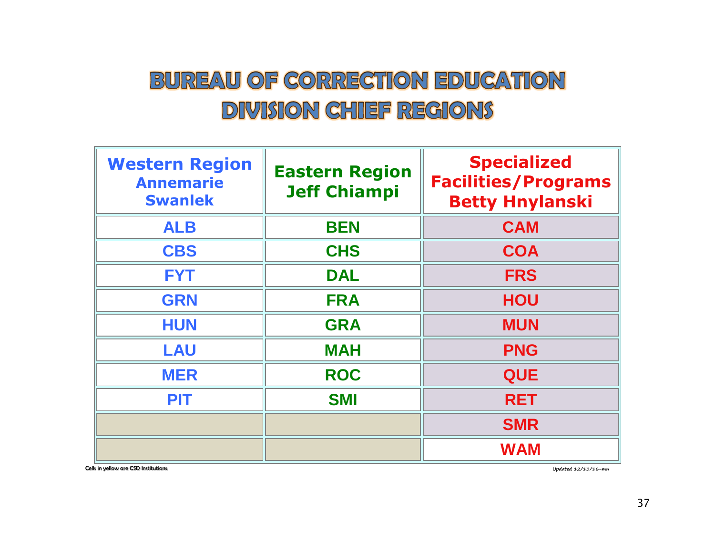## **BUREAU OF CORRECTION EDUCATION DIVISION CHIEF REGIONS**

| <b>Western Region</b><br><b>Annemarie</b><br><b>Swanlek</b> | <b>Eastern Region</b><br><b>Jeff Chiampi</b> | <b>Specialized</b><br><b>Facilities/Programs</b><br><b>Betty Hnylanski</b> |
|-------------------------------------------------------------|----------------------------------------------|----------------------------------------------------------------------------|
| <b>ALB</b>                                                  | <b>BEN</b>                                   | <b>CAM</b>                                                                 |
| <b>CBS</b>                                                  | <b>CHS</b>                                   | <b>COA</b>                                                                 |
| <b>FYT</b>                                                  | <b>DAL</b>                                   | <b>FRS</b>                                                                 |
| <b>GRN</b>                                                  | <b>FRA</b>                                   | <b>HOU</b>                                                                 |
| <b>HUN</b>                                                  | <b>GRA</b>                                   | <b>MUN</b>                                                                 |
| <b>LAU</b>                                                  | <b>MAH</b>                                   | <b>PNG</b>                                                                 |
| <b>MER</b>                                                  | <b>ROC</b>                                   | <b>QUE</b>                                                                 |
| <b>PIT</b>                                                  | <b>SMI</b>                                   | <b>RET</b>                                                                 |
|                                                             |                                              | <b>SMR</b>                                                                 |
|                                                             |                                              | <b>WAM</b>                                                                 |

Cells in yellow are CSD Institutions **Updated 12/13/16-mn**